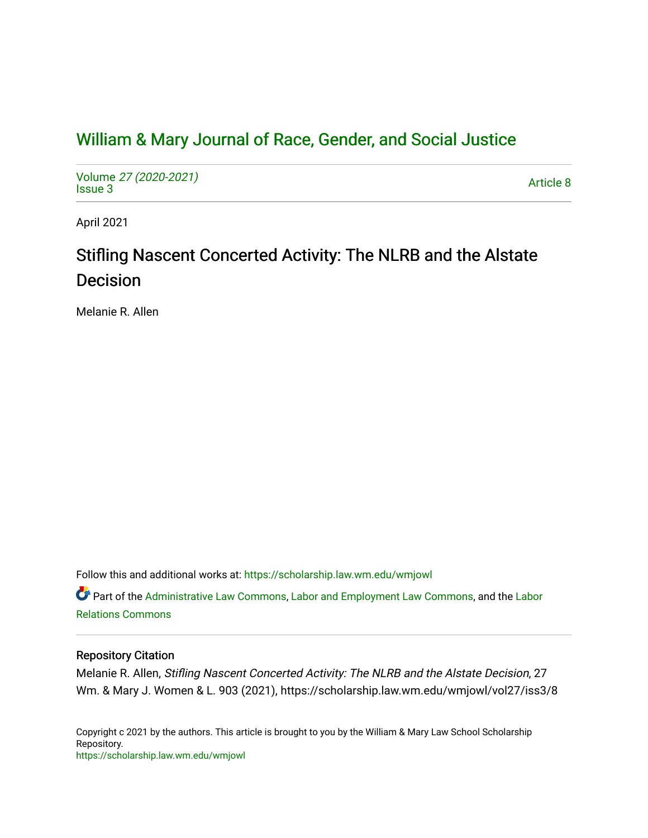# [William & Mary Journal of Race, Gender, and Social Justice](https://scholarship.law.wm.edu/wmjowl)

Volume [27 \(2020-2021\)](https://scholarship.law.wm.edu/wmjowl/vol27)  volume 27 (2020-2021)<br>[Issue 3](https://scholarship.law.wm.edu/wmjowl/vol27/iss3) Article 8

April 2021

# Stifling Nascent Concerted Activity: The NLRB and the Alstate Decision

Melanie R. Allen

Follow this and additional works at: [https://scholarship.law.wm.edu/wmjowl](https://scholarship.law.wm.edu/wmjowl?utm_source=scholarship.law.wm.edu%2Fwmjowl%2Fvol27%2Fiss3%2F8&utm_medium=PDF&utm_campaign=PDFCoverPages) 

Part of the [Administrative Law Commons,](http://network.bepress.com/hgg/discipline/579?utm_source=scholarship.law.wm.edu%2Fwmjowl%2Fvol27%2Fiss3%2F8&utm_medium=PDF&utm_campaign=PDFCoverPages) [Labor and Employment Law Commons](http://network.bepress.com/hgg/discipline/909?utm_source=scholarship.law.wm.edu%2Fwmjowl%2Fvol27%2Fiss3%2F8&utm_medium=PDF&utm_campaign=PDFCoverPages), and the [Labor](http://network.bepress.com/hgg/discipline/635?utm_source=scholarship.law.wm.edu%2Fwmjowl%2Fvol27%2Fiss3%2F8&utm_medium=PDF&utm_campaign=PDFCoverPages)  [Relations Commons](http://network.bepress.com/hgg/discipline/635?utm_source=scholarship.law.wm.edu%2Fwmjowl%2Fvol27%2Fiss3%2F8&utm_medium=PDF&utm_campaign=PDFCoverPages) 

# Repository Citation

Melanie R. Allen, Stifling Nascent Concerted Activity: The NLRB and the Alstate Decision, 27 Wm. & Mary J. Women & L. 903 (2021), https://scholarship.law.wm.edu/wmjowl/vol27/iss3/8

Copyright c 2021 by the authors. This article is brought to you by the William & Mary Law School Scholarship Repository. <https://scholarship.law.wm.edu/wmjowl>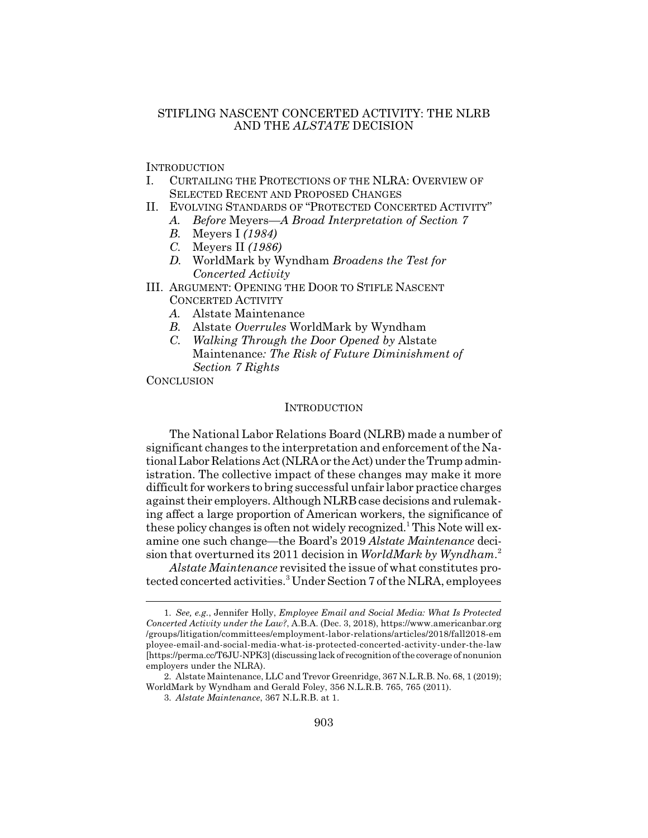# STIFLING NASCENT CONCERTED ACTIVITY: THE NLRB AND THE *ALSTATE* DECISION

**INTRODUCTION** 

- I. CURTAILING THE PROTECTIONS OF THE NLRA: OVERVIEW OF SELECTED RECENT AND PROPOSED CHANGES
- II. EVOLVING STANDARDS OF "PROTECTED CONCERTED ACTIVITY"
	- *A. Before* Meyers*—A Broad Interpretation of Section 7*
	- *B.* Meyers I *(1984)*
	- *C.* Meyers II *(1986)*
	- *D.* WorldMark by Wyndham *Broadens the Test for Concerted Activity*
- III. ARGUMENT: OPENING THE DOOR TO STIFLE NASCENT CONCERTED ACTIVITY
	- *A.* Alstate Maintenance
	- *B.* Alstate *Overrules* WorldMark by Wyndham
	- *C. Walking Through the Door Opened by* Alstate Maintenance*: The Risk of Future Diminishment of Section 7 Rights*

**CONCLUSION** 

#### **INTRODUCTION**

The National Labor Relations Board (NLRB) made a number of significant changes to the interpretation and enforcement of the National Labor Relations Act (NLRA or the Act) under the Trump administration. The collective impact of these changes may make it more difficult for workers to bring successful unfair labor practice charges against their employers. Although NLRB case decisions and rulemaking affect a large proportion of American workers, the significance of these policy changes is often not widely recognized.<sup>1</sup> This Note will examine one such change—the Board's 2019 *Alstate Maintenance* decision that overturned its 2011 decision in *WorldMark by Wyndham*. 2

*Alstate Maintenance* revisited the issue of what constitutes protected concerted activities.<sup>3</sup> Under Section 7 of the NLRA, employees

<sup>1.</sup> *See, e.g.*, Jennifer Holly, *Employee Email and Social Media: What Is Protected Concerted Activity under the Law?*, A.B.A. (Dec. 3, 2018), https://www.americanbar.org /groups/litigation/committees/employment-labor-relations/articles/2018/fall2018-em ployee-email-and-social-media-what-is-protected-concerted-activity-under-the-law [https://perma.cc/T6JU-NPK3] (discussing lack of recognition of the coverage of nonunion employers under the NLRA).

<sup>2.</sup> Alstate Maintenance, LLC and Trevor Greenridge, 367 N.L.R.B. No. 68, 1 (2019); WorldMark by Wyndham and Gerald Foley, 356 N.L.R.B. 765, 765 (2011).

<sup>3.</sup> *Alstate Maintenance*, 367 N.L.R.B. at 1.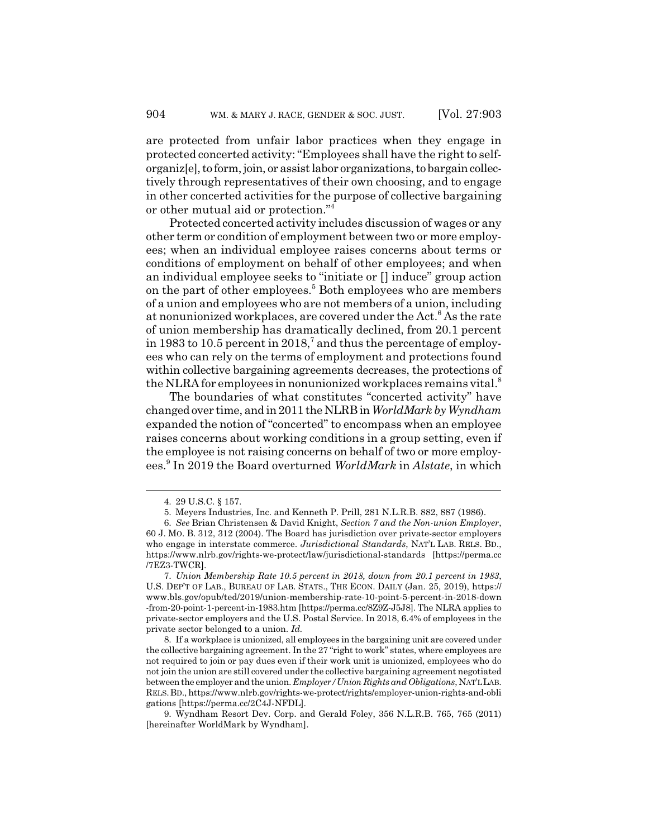are protected from unfair labor practices when they engage in protected concerted activity: "Employees shall have the right to selforganiz[e], to form, join, or assist labor organizations, to bargain collectively through representatives of their own choosing, and to engage in other concerted activities for the purpose of collective bargaining or other mutual aid or protection."4

Protected concerted activity includes discussion of wages or any other term or condition of employment between two or more employees; when an individual employee raises concerns about terms or conditions of employment on behalf of other employees; and when an individual employee seeks to "initiate or [] induce" group action on the part of other employees.<sup>5</sup> Both employees who are members of a union and employees who are not members of a union, including at nonunionized workplaces, are covered under the Act.<sup>6</sup> As the rate of union membership has dramatically declined, from 20.1 percent in 1983 to 10.5 percent in 2018,<sup>7</sup> and thus the percentage of employees who can rely on the terms of employment and protections found within collective bargaining agreements decreases, the protections of the NLRA for employees in nonunionized workplaces remains vital.<sup>8</sup>

The boundaries of what constitutes "concerted activity" have changed over time, and in 2011 the NLRB in *WorldMark by Wyndham* expanded the notion of "concerted" to encompass when an employee raises concerns about working conditions in a group setting, even if the employee is not raising concerns on behalf of two or more employees.<sup>9</sup> In 2019 the Board overturned *WorldMark* in *Alstate*, in which

<sup>4. 29</sup> U.S.C. § 157.

<sup>5.</sup> Meyers Industries, Inc. and Kenneth P. Prill, 281 N.L.R.B. 882, 887 (1986).

<sup>6.</sup> *See* Brian Christensen & David Knight, *Section 7 and the Non-union Employer*, 60 J. MO. B. 312, 312 (2004). The Board has jurisdiction over private-sector employers who engage in interstate commerce. *Jurisdictional Standards*, NAT'L LAB. RELS. BD., https://www.nlrb.gov/rights-we-protect/law/jurisdictional-standards [https://perma.cc /7EZ3-TWCR].

<sup>7.</sup> *Union Membership Rate 10.5 percent in 2018, down from 20.1 percent in 1983*, U.S. DEP'T OF LAB., BUREAU OF LAB. STATS., THE ECON. DAILY (Jan. 25, 2019), https:// www.bls.gov/opub/ted/2019/union-membership-rate-10-point-5-percent-in-2018-down -from-20-point-1-percent-in-1983.htm [https://perma.cc/8Z9Z-J5J8]. The NLRA applies to private-sector employers and the U.S. Postal Service. In 2018, 6.4% of employees in the private sector belonged to a union. *Id.*

<sup>8.</sup> If a workplace is unionized, all employees in the bargaining unit are covered under the collective bargaining agreement. In the 27 "right to work" states, where employees are not required to join or pay dues even if their work unit is unionized, employees who do not join the union are still covered under the collective bargaining agreement negotiated between the employer and the union. *Employer/Union Rights and Obligations*, NAT'LLAB. RELS.BD., https://www.nlrb.gov/rights-we-protect/rights/employer-union-rights-and-obli gations [https://perma.cc/2C4J-NFDL].

<sup>9.</sup> Wyndham Resort Dev. Corp. and Gerald Foley, 356 N.L.R.B. 765, 765 (2011) [hereinafter WorldMark by Wyndham].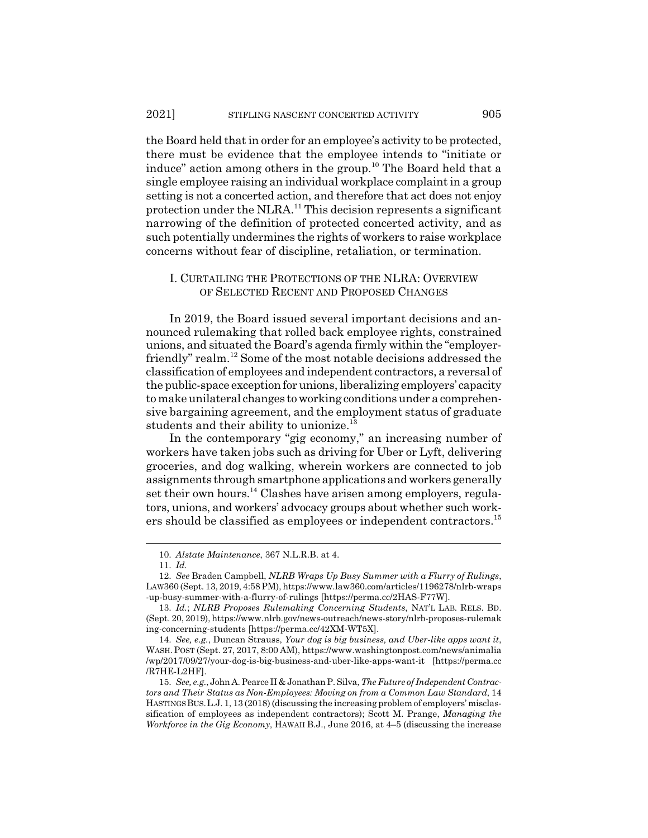the Board held that in order for an employee's activity to be protected, there must be evidence that the employee intends to "initiate or induce" action among others in the group.<sup>10</sup> The Board held that a single employee raising an individual workplace complaint in a group setting is not a concerted action, and therefore that act does not enjoy protection under the NLRA.<sup>11</sup> This decision represents a significant narrowing of the definition of protected concerted activity, and as such potentially undermines the rights of workers to raise workplace concerns without fear of discipline, retaliation, or termination.

# I. CURTAILING THE PROTECTIONS OF THE NLRA: OVERVIEW OF SELECTED RECENT AND PROPOSED CHANGES

In 2019, the Board issued several important decisions and announced rulemaking that rolled back employee rights, constrained unions, and situated the Board's agenda firmly within the "employerfriendly" realm.<sup>12</sup> Some of the most notable decisions addressed the classification of employees and independent contractors, a reversal of the public-space exception for unions, liberalizing employers' capacity to make unilateral changes to working conditions under a comprehensive bargaining agreement, and the employment status of graduate students and their ability to unionize.<sup>13</sup>

In the contemporary "gig economy," an increasing number of workers have taken jobs such as driving for Uber or Lyft, delivering groceries, and dog walking, wherein workers are connected to job assignments through smartphone applications and workers generally set their own hours.<sup>14</sup> Clashes have arisen among employers, regulators, unions, and workers' advocacy groups about whether such workers should be classified as employees or independent contractors.<sup>15</sup>

<sup>10.</sup> *Alstate Maintenance*, 367 N.L.R.B. at 4.

<sup>11.</sup> *Id.*

<sup>12.</sup> *See* Braden Campbell, *NLRB Wraps Up Busy Summer with a Flurry of Rulings*, LAW360 (Sept. 13, 2019, 4:58 PM), https://www.law360.com/articles/1196278/nlrb-wraps -up-busy-summer-with-a-flurry-of-rulings [https://perma.cc/2HAS-F77W].

<sup>13.</sup> *Id.*; *NLRB Proposes Rulemaking Concerning Students*, NAT'L LAB. RELS. BD. (Sept. 20, 2019), https://www.nlrb.gov/news-outreach/news-story/nlrb-proposes-rulemak ing-concerning-students [https://perma.cc/42XM-WT5X].

<sup>14.</sup> *See, e.g.*, Duncan Strauss, *Your dog is big business, and Uber-like apps want it*, WASH. POST (Sept. 27, 2017, 8:00 AM), https://www.washingtonpost.com/news/animalia /wp/2017/09/27/your-dog-is-big-business-and-uber-like-apps-want-it [https://perma.cc /R7HE-L2HF].

<sup>15.</sup> *See, e.g.*, John A. Pearce II & Jonathan P. Silva, *The Future of Independent Contractors and Their Status as Non-Employees: Moving on from a Common Law Standard*, 14 HASTINGSBUS.L.J. 1, 13 (2018) (discussing the increasing problem of employers' misclassification of employees as independent contractors); Scott M. Prange, *Managing the Workforce in the Gig Economy*, HAWAII B.J., June 2016, at 4–5 (discussing the increase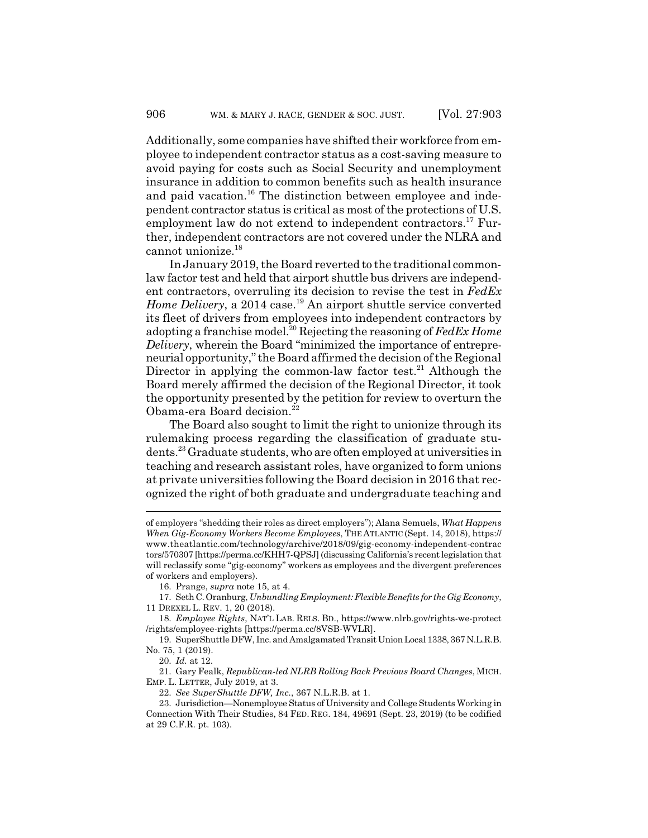Additionally, some companies have shifted their workforce from employee to independent contractor status as a cost-saving measure to avoid paying for costs such as Social Security and unemployment insurance in addition to common benefits such as health insurance and paid vacation.<sup>16</sup> The distinction between employee and independent contractor status is critical as most of the protections of U.S. employment law do not extend to independent contractors.<sup>17</sup> Further, independent contractors are not covered under the NLRA and cannot unionize.<sup>18</sup>

In January 2019, the Board reverted to the traditional commonlaw factor test and held that airport shuttle bus drivers are independent contractors, overruling its decision to revise the test in *FedEx Home Delivery*, a 2014 case.<sup>19</sup> An airport shuttle service converted its fleet of drivers from employees into independent contractors by adopting a franchise model.<sup>20</sup> Rejecting the reasoning of *FedEx Home Delivery*, wherein the Board "minimized the importance of entrepreneurial opportunity," the Board affirmed the decision of the Regional Director in applying the common-law factor test.<sup>21</sup> Although the Board merely affirmed the decision of the Regional Director, it took the opportunity presented by the petition for review to overturn the Obama-era Board decision.<sup>22</sup>

The Board also sought to limit the right to unionize through its rulemaking process regarding the classification of graduate students.23 Graduate students, who are often employed at universities in teaching and research assistant roles, have organized to form unions at private universities following the Board decision in 2016 that recognized the right of both graduate and undergraduate teaching and

of employers "shedding their roles as direct employers"); Alana Semuels, *What Happens When Gig-Economy Workers Become Employees*, THE ATLANTIC (Sept. 14, 2018), https:// www.theatlantic.com/technology/archive/2018/09/gig-economy-independent-contrac tors/570307 [https://perma.cc/KHH7-QPSJ] (discussing California's recent legislation that will reclassify some "gig-economy" workers as employees and the divergent preferences of workers and employers).

<sup>16.</sup> Prange, *supra* note 15, at 4.

<sup>17.</sup> Seth C. Oranburg, *Unbundling Employment: Flexible Benefits for the Gig Economy*, 11 DREXEL L. REV. 1, 20 (2018).

<sup>18.</sup> *Employee Rights*, NAT'L LAB. RELS. BD., https://www.nlrb.gov/rights-we-protect /rights/employee-rights [https://perma.cc/8VSB-WVLR].

<sup>19.</sup> SuperShuttle DFW, Inc. and Amalgamated Transit Union Local 1338, 367 N.L.R.B. No. 75, 1 (2019).

<sup>20.</sup> *Id.* at 12.

<sup>21.</sup> Gary Fealk, *Republican-led NLRB Rolling Back Previous Board Changes*, MICH. EMP. L. LETTER, July 2019, at 3.

<sup>22.</sup> *See SuperShuttle DFW, Inc.*, 367 N.L.R.B. at 1.

<sup>23.</sup> Jurisdiction—Nonemployee Status of University and College Students Working in Connection With Their Studies, 84 FED. REG. 184, 49691 (Sept. 23, 2019) (to be codified at 29 C.F.R. pt. 103).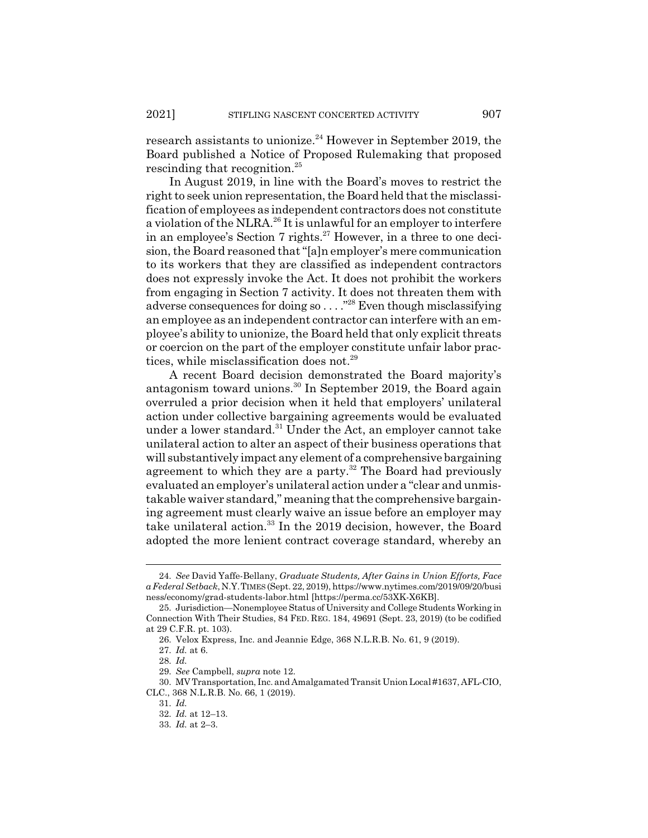research assistants to unionize.<sup>24</sup> However in September 2019, the Board published a Notice of Proposed Rulemaking that proposed rescinding that recognition.<sup>25</sup>

In August 2019, in line with the Board's moves to restrict the right to seek union representation, the Board held that the misclassification of employees as independent contractors does not constitute a violation of the NLRA.<sup>26</sup> It is unlawful for an employer to interfere in an employee's Section 7 rights.<sup>27</sup> However, in a three to one decision, the Board reasoned that "[a]n employer's mere communication to its workers that they are classified as independent contractors does not expressly invoke the Act. It does not prohibit the workers from engaging in Section 7 activity. It does not threaten them with adverse consequences for doing so . . . ."28 Even though misclassifying an employee as an independent contractor can interfere with an employee's ability to unionize, the Board held that only explicit threats or coercion on the part of the employer constitute unfair labor practices, while misclassification does not.<sup>29</sup>

A recent Board decision demonstrated the Board majority's antagonism toward unions.30 In September 2019, the Board again overruled a prior decision when it held that employers' unilateral action under collective bargaining agreements would be evaluated under a lower standard. $31$  Under the Act, an employer cannot take unilateral action to alter an aspect of their business operations that will substantively impact any element of a comprehensive bargaining agreement to which they are a party.<sup>32</sup> The Board had previously evaluated an employer's unilateral action under a "clear and unmistakable waiver standard," meaning that the comprehensive bargaining agreement must clearly waive an issue before an employer may take unilateral action.<sup>33</sup> In the 2019 decision, however, the Board adopted the more lenient contract coverage standard, whereby an

<sup>24.</sup> *See* David Yaffe-Bellany, *Graduate Students, After Gains in Union Efforts, Face a Federal Setback*, N.Y.TIMES (Sept. 22, 2019), https://www.nytimes.com/2019/09/20/busi ness/economy/grad-students-labor.html [https://perma.cc/53XK-X6KB].

<sup>25.</sup> Jurisdiction—Nonemployee Status of University and College Students Working in Connection With Their Studies, 84 FED. REG. 184, 49691 (Sept. 23, 2019) (to be codified at 29 C.F.R. pt. 103).

<sup>26.</sup> Velox Express, Inc. and Jeannie Edge, 368 N.L.R.B. No. 61, 9 (2019).

<sup>27.</sup> *Id.* at 6.

<sup>28.</sup> *Id.*

<sup>29.</sup> *See* Campbell, *supra* note 12.

<sup>30.</sup> MV Transportation, Inc. and Amalgamated Transit Union Local #1637, AFL-CIO, CLC., 368 N.L.R.B. No. 66, 1 (2019).

<sup>31.</sup> *Id.*

<sup>32.</sup> *Id.* at 12–13.

<sup>33.</sup> *Id.* at 2–3.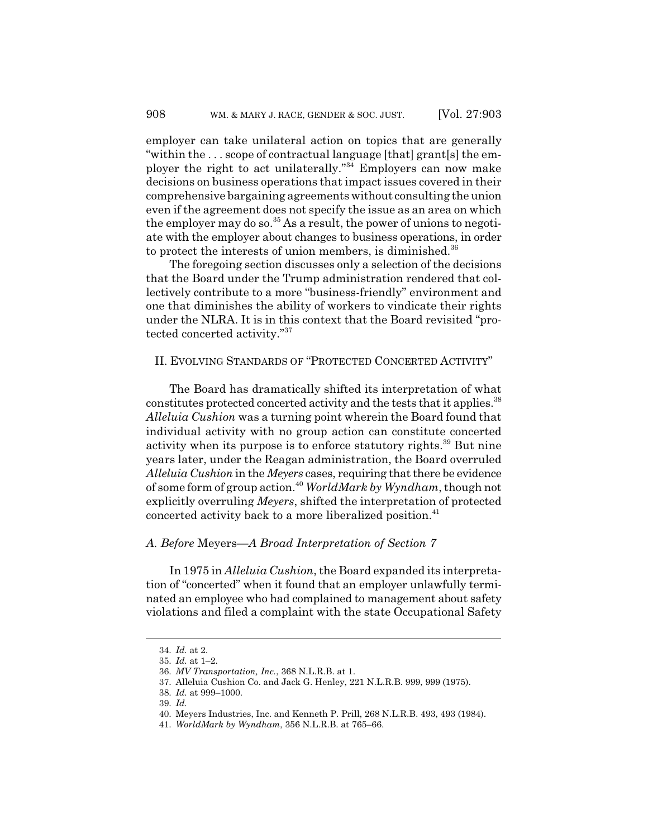employer can take unilateral action on topics that are generally "within the . . . scope of contractual language [that] grant[s] the employer the right to act unilaterally."34 Employers can now make decisions on business operations that impact issues covered in their comprehensive bargaining agreements without consulting the union even if the agreement does not specify the issue as an area on which the employer may do so.  $35$  As a result, the power of unions to negotiate with the employer about changes to business operations, in order to protect the interests of union members, is diminished.36

The foregoing section discusses only a selection of the decisions that the Board under the Trump administration rendered that collectively contribute to a more "business-friendly" environment and one that diminishes the ability of workers to vindicate their rights under the NLRA. It is in this context that the Board revisited "protected concerted activity."37

# II. EVOLVING STANDARDS OF "PROTECTED CONCERTED ACTIVITY"

The Board has dramatically shifted its interpretation of what constitutes protected concerted activity and the tests that it applies.<sup>38</sup> *Alleluia Cushion* was a turning point wherein the Board found that individual activity with no group action can constitute concerted activity when its purpose is to enforce statutory rights.<sup>39</sup> But nine years later, under the Reagan administration, the Board overruled *Alleluia Cushion* in the *Meyers* cases, requiring that there be evidence of some form of group action.40 *WorldMark by Wyndham*, though not explicitly overruling *Meyers*, shifted the interpretation of protected concerted activity back to a more liberalized position.<sup>41</sup>

### *A. Before* Meyers*—A Broad Interpretation of Section 7*

In 1975 in *Alleluia Cushion*, the Board expanded its interpretation of "concerted" when it found that an employer unlawfully terminated an employee who had complained to management about safety violations and filed a complaint with the state Occupational Safety

<sup>34.</sup> *Id.* at 2.

<sup>35.</sup> *Id.* at 1–2.

<sup>36.</sup> *MV Transportation, Inc.*, 368 N.L.R.B. at 1.

<sup>37.</sup> Alleluia Cushion Co. and Jack G. Henley, 221 N.L.R.B. 999, 999 (1975).

<sup>38.</sup> *Id.* at 999–1000.

<sup>39.</sup> *Id.*

<sup>40.</sup> Meyers Industries, Inc. and Kenneth P. Prill, 268 N.L.R.B. 493, 493 (1984).

<sup>41.</sup> *WorldMark by Wyndham*, 356 N.L.R.B. at 765–66.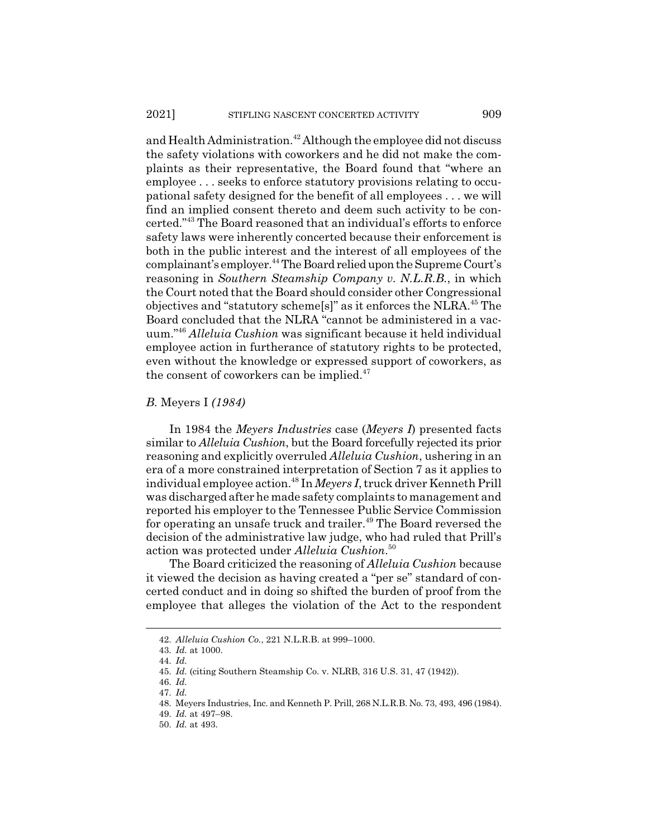and Health Administration.<sup>42</sup> Although the employee did not discuss the safety violations with coworkers and he did not make the complaints as their representative, the Board found that "where an employee . . . seeks to enforce statutory provisions relating to occupational safety designed for the benefit of all employees . . . we will find an implied consent thereto and deem such activity to be concerted."43 The Board reasoned that an individual's efforts to enforce safety laws were inherently concerted because their enforcement is both in the public interest and the interest of all employees of the complainant's employer.44 The Board relied upon the Supreme Court's reasoning in *Southern Steamship Company v. N.L.R.B.*, in which the Court noted that the Board should consider other Congressional objectives and "statutory scheme[s]" as it enforces the NLRA.45 The Board concluded that the NLRA "cannot be administered in a vacuum."46 *Alleluia Cushion* was significant because it held individual employee action in furtherance of statutory rights to be protected, even without the knowledge or expressed support of coworkers, as the consent of coworkers can be implied.<sup>47</sup>

#### *B.* Meyers I *(1984)*

In 1984 the *Meyers Industries* case (*Meyers I*) presented facts similar to *Alleluia Cushion*, but the Board forcefully rejected its prior reasoning and explicitly overruled *Alleluia Cushion*, ushering in an era of a more constrained interpretation of Section 7 as it applies to individual employee action.48 In *Meyers I*, truck driver Kenneth Prill was discharged after he made safety complaints to management and reported his employer to the Tennessee Public Service Commission for operating an unsafe truck and trailer.<sup>49</sup> The Board reversed the decision of the administrative law judge, who had ruled that Prill's action was protected under *Alleluia Cushion*. 50

The Board criticized the reasoning of *Alleluia Cushion* because it viewed the decision as having created a "per se" standard of concerted conduct and in doing so shifted the burden of proof from the employee that alleges the violation of the Act to the respondent

<sup>42.</sup> *Alleluia Cushion Co.*, 221 N.L.R.B. at 999–1000.

<sup>43.</sup> *Id.* at 1000. 44. *Id.*

<sup>45.</sup> *Id.* (citing Southern Steamship Co. v. NLRB, 316 U.S. 31, 47 (1942)).

<sup>46.</sup> *Id.*

<sup>47.</sup> *Id.*

<sup>48.</sup> Meyers Industries, Inc. and Kenneth P. Prill, 268 N.L.R.B. No. 73, 493, 496 (1984).

<sup>49.</sup> *Id.* at 497–98.

<sup>50.</sup> *Id.* at 493.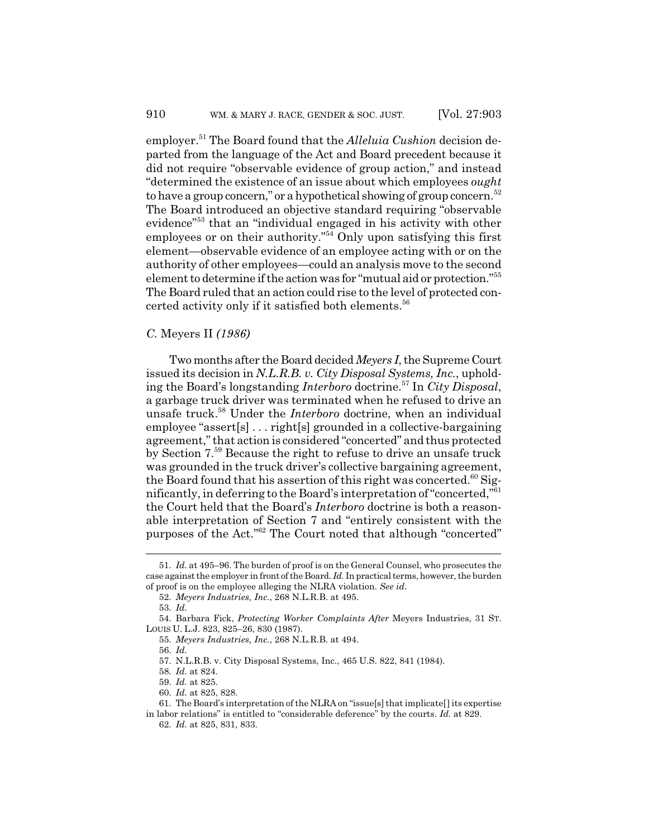employer.<sup>51</sup> The Board found that the *Alleluia Cushion* decision departed from the language of the Act and Board precedent because it did not require "observable evidence of group action," and instead "determined the existence of an issue about which employees *ought* to have a group concern," or a hypothetical showing of group concern.<sup>52</sup> The Board introduced an objective standard requiring "observable evidence"53 that an "individual engaged in his activity with other employees or on their authority."<sup>54</sup> Only upon satisfying this first element—observable evidence of an employee acting with or on the authority of other employees—could an analysis move to the second element to determine if the action was for "mutual aid or protection."55 The Board ruled that an action could rise to the level of protected concerted activity only if it satisfied both elements.<sup>56</sup>

#### *C.* Meyers II *(1986)*

Two months after the Board decided *Meyers I*, the Supreme Court issued its decision in *N.L.R.B. v. City Disposal Systems, Inc.*, upholding the Board's longstanding *Interboro* doctrine.57 In *City Disposal*, a garbage truck driver was terminated when he refused to drive an unsafe truck.58 Under the *Interboro* doctrine, when an individual employee "assert[s] . . . right[s] grounded in a collective-bargaining agreement," that action is considered "concerted" and thus protected by Section 7.59 Because the right to refuse to drive an unsafe truck was grounded in the truck driver's collective bargaining agreement, the Board found that his assertion of this right was concerted. $60$  Significantly, in deferring to the Board's interpretation of "concerted,"61 the Court held that the Board's *Interboro* doctrine is both a reasonable interpretation of Section 7 and "entirely consistent with the purposes of the Act."62 The Court noted that although "concerted"

<sup>51.</sup> *Id.* at 495–96. The burden of proof is on the General Counsel, who prosecutes the case against the employer in front of the Board. *Id.* In practical terms, however, the burden of proof is on the employee alleging the NLRA violation. *See id.*

<sup>52.</sup> *Meyers Industries, Inc.*, 268 N.L.R.B. at 495.

<sup>53.</sup> *Id.*

<sup>54.</sup> Barbara Fick, *Protecting Worker Complaints After* Meyers Industries, 31 ST. LOUIS U. L.J. 823, 825–26, 830 (1987).

<sup>55.</sup> *Meyers Industries, Inc.*, 268 N.L.R.B. at 494.

<sup>56.</sup> *Id.*

<sup>57.</sup> N.L.R.B. v. City Disposal Systems, Inc., 465 U.S. 822, 841 (1984).

<sup>58.</sup> *Id.* at 824.

<sup>59.</sup> *Id.* at 825.

<sup>60.</sup> *Id.* at 825, 828.

<sup>61.</sup> The Board's interpretation of the NLRA on "issue[s] that implicate[] its expertise in labor relations" is entitled to "considerable deference" by the courts. *Id.* at 829.

<sup>62.</sup> *Id.* at 825, 831, 833.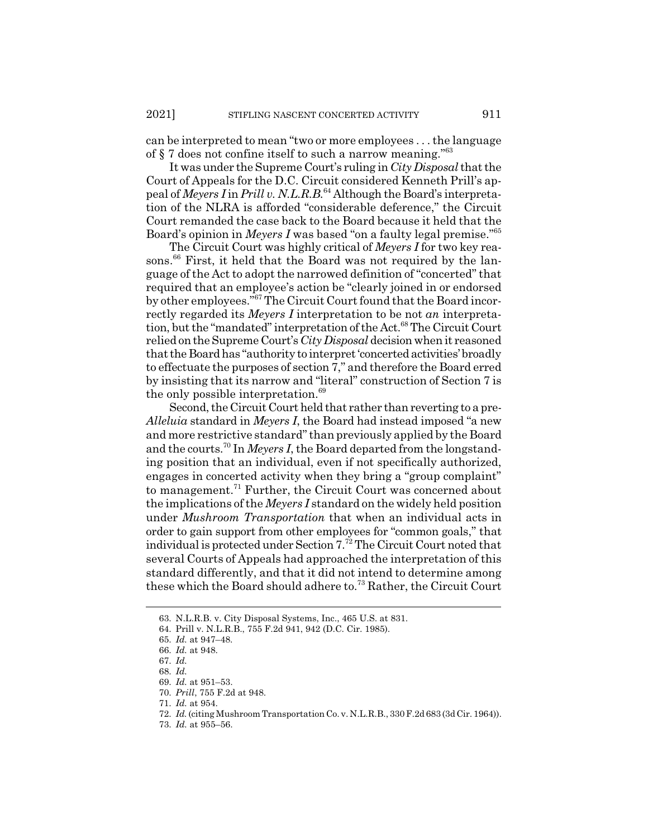can be interpreted to mean "two or more employees . . . the language of § 7 does not confine itself to such a narrow meaning."63

It was under the Supreme Court's ruling in *City Disposal* that the Court of Appeals for the D.C. Circuit considered Kenneth Prill's appeal of *Meyers I* in *Prill v. N.L.R.B.*64 Although the Board's interpretation of the NLRA is afforded "considerable deference," the Circuit Court remanded the case back to the Board because it held that the Board's opinion in *Meyers I* was based "on a faulty legal premise."65

The Circuit Court was highly critical of *Meyers I* for two key reasons.<sup>66</sup> First, it held that the Board was not required by the language of the Act to adopt the narrowed definition of "concerted" that required that an employee's action be "clearly joined in or endorsed by other employees."<sup>67</sup> The Circuit Court found that the Board incorrectly regarded its *Meyers I* interpretation to be not *an* interpretation, but the "mandated" interpretation of the Act.<sup>68</sup> The Circuit Court relied on the Supreme Court's *City Disposal* decision when it reasoned that the Board has "authority to interpret 'concerted activities' broadly to effectuate the purposes of section 7," and therefore the Board erred by insisting that its narrow and "literal" construction of Section 7 is the only possible interpretation.<sup>69</sup>

Second, the Circuit Court held that rather than reverting to a pre-*Alleluia* standard in *Meyers I*, the Board had instead imposed "a new and more restrictive standard" than previously applied by the Board and the courts.70 In *Meyers I*, the Board departed from the longstanding position that an individual, even if not specifically authorized, engages in concerted activity when they bring a "group complaint" to management.71 Further, the Circuit Court was concerned about the implications of the *Meyers I* standard on the widely held position under *Mushroom Transportation* that when an individual acts in order to gain support from other employees for "common goals," that individual is protected under Section 7.72 The Circuit Court noted that several Courts of Appeals had approached the interpretation of this standard differently, and that it did not intend to determine among these which the Board should adhere to.73 Rather, the Circuit Court

<sup>63.</sup> N.L.R.B. v. City Disposal Systems, Inc., 465 U.S. at 831.

<sup>64.</sup> Prill v. N.L.R.B., 755 F.2d 941, 942 (D.C. Cir. 1985).

<sup>65.</sup> *Id.* at 947–48.

<sup>66.</sup> *Id.* at 948.

<sup>67.</sup> *Id.*

<sup>68.</sup> *Id.*

<sup>69.</sup> *Id.* at 951–53.

<sup>70.</sup> *Prill*, 755 F.2d at 948.

<sup>71.</sup> *Id.* at 954.

<sup>72.</sup> *Id.* (citing Mushroom Transportation Co. v. N.L.R.B., 330 F.2d 683 (3d Cir. 1964)).

<sup>73.</sup> *Id.* at 955–56.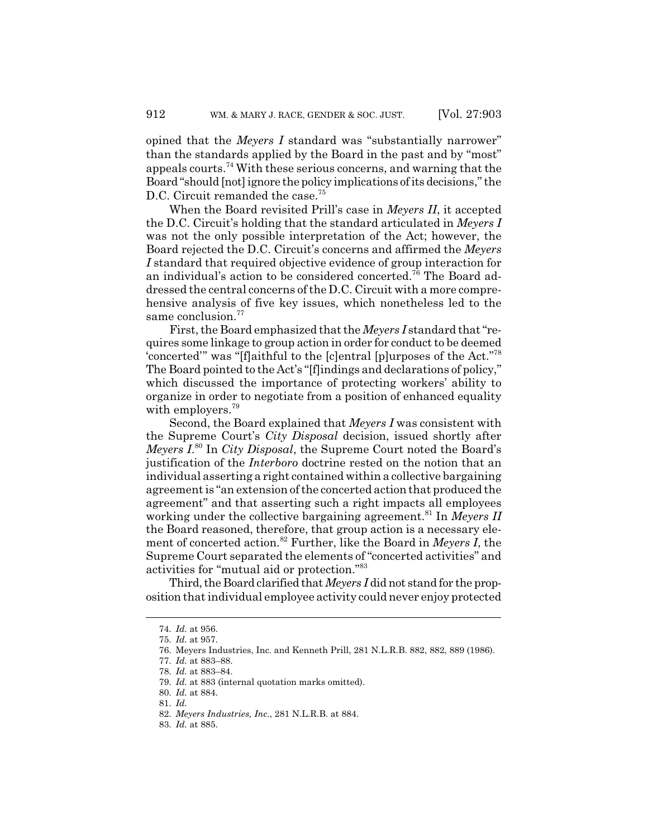opined that the *Meyers I* standard was "substantially narrower" than the standards applied by the Board in the past and by "most" appeals courts.74 With these serious concerns, and warning that the Board "should [not] ignore the policy implications of its decisions," the D.C. Circuit remanded the case.<sup>75</sup>

When the Board revisited Prill's case in *Meyers II*, it accepted the D.C. Circuit's holding that the standard articulated in *Meyers I* was not the only possible interpretation of the Act; however, the Board rejected the D.C. Circuit's concerns and affirmed the *Meyers I* standard that required objective evidence of group interaction for an individual's action to be considered concerted.76 The Board addressed the central concerns of the D.C. Circuit with a more comprehensive analysis of five key issues, which nonetheless led to the same conclusion.<sup>77</sup>

First, the Board emphasized that the *Meyers I* standard that "requires some linkage to group action in order for conduct to be deemed 'concerted'" was "[f]aithful to the [c]entral [p]urposes of the Act."78 The Board pointed to the Act's "[f]indings and declarations of policy," which discussed the importance of protecting workers' ability to organize in order to negotiate from a position of enhanced equality with employers.<sup>79</sup>

Second, the Board explained that *Meyers I* was consistent with the Supreme Court's *City Disposal* decision, issued shortly after *Meyers I*. 80 In *City Disposal*, the Supreme Court noted the Board's justification of the *Interboro* doctrine rested on the notion that an individual asserting a right contained within a collective bargaining agreement is "an extension of the concerted action that produced the agreement" and that asserting such a right impacts all employees working under the collective bargaining agreement.<sup>81</sup> In *Meyers II* the Board reasoned, therefore, that group action is a necessary element of concerted action.82 Further, like the Board in *Meyers I*, the Supreme Court separated the elements of "concerted activities" and activities for "mutual aid or protection."83

Third, the Board clarified that *Meyers I* did not stand for the proposition that individual employee activity could never enjoy protected

83. *Id.* at 885.

<sup>74.</sup> *Id.* at 956.

<sup>75.</sup> *Id.* at 957.

<sup>76.</sup> Meyers Industries, Inc. and Kenneth Prill, 281 N.L.R.B. 882, 882, 889 (1986).

<sup>77.</sup> *Id.* at 883–88.

<sup>78.</sup> *Id.* at 883–84.

<sup>79.</sup> *Id.* at 883 (internal quotation marks omitted).

<sup>80.</sup> *Id.* at 884.

<sup>81.</sup> *Id.*

<sup>82.</sup> *Meyers Industries, Inc.*, 281 N.L.R.B. at 884.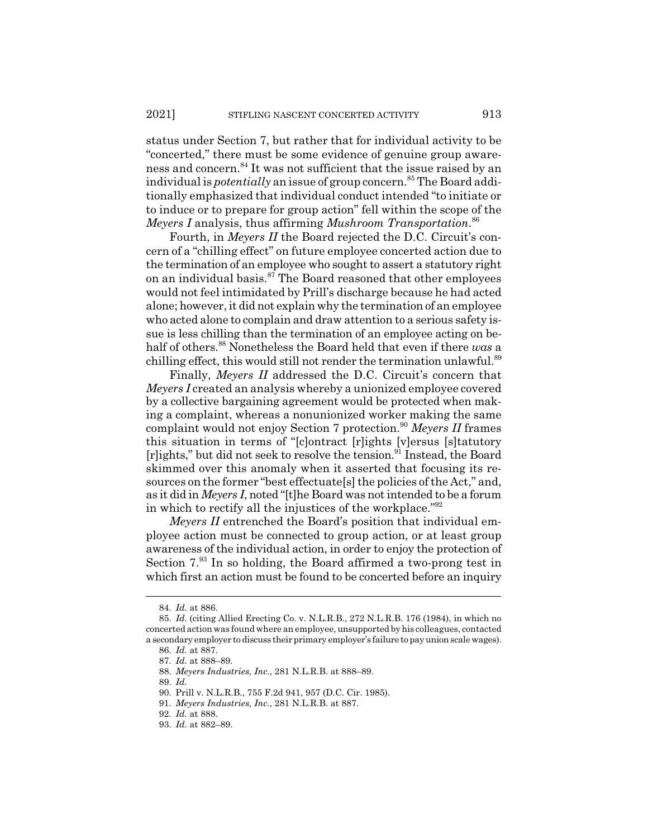status under Section 7, but rather that for individual activity to be "concerted," there must be some evidence of genuine group awareness and concern.84 It was not sufficient that the issue raised by an individual is *potentially* an issue of group concern.<sup>85</sup> The Board additionally emphasized that individual conduct intended "to initiate or to induce or to prepare for group action" fell within the scope of the *Meyers I* analysis, thus affirming *Mushroom Transportation*. 86

Fourth, in *Meyers II* the Board rejected the D.C. Circuit's concern of a "chilling effect" on future employee concerted action due to the termination of an employee who sought to assert a statutory right on an individual basis.<sup>87</sup> The Board reasoned that other employees would not feel intimidated by Prill's discharge because he had acted alone; however, it did not explain why the termination of an employee who acted alone to complain and draw attention to a serious safety issue is less chilling than the termination of an employee acting on behalf of others.88 Nonetheless the Board held that even if there *was* a chilling effect, this would still not render the termination unlawful.<sup>89</sup>

Finally, *Meyers II* addressed the D.C. Circuit's concern that *Meyers I* created an analysis whereby a unionized employee covered by a collective bargaining agreement would be protected when making a complaint, whereas a nonunionized worker making the same complaint would not enjoy Section 7 protection.<sup>90</sup> Meyers II frames this situation in terms of "[c]ontract [r]ights [v]ersus [s]tatutory [r]ights," but did not seek to resolve the tension.91 Instead, the Board skimmed over this anomaly when it asserted that focusing its resources on the former "best effectuate[s] the policies of the Act," and, as it did in *Meyers I*, noted "[t]he Board was not intended to be a forum in which to rectify all the injustices of the workplace."92

*Meyers II* entrenched the Board's position that individual employee action must be connected to group action, or at least group awareness of the individual action, in order to enjoy the protection of Section 7.<sup>93</sup> In so holding, the Board affirmed a two-prong test in which first an action must be found to be concerted before an inquiry

89. *Id.*

<sup>84.</sup> *Id.* at 886.

<sup>85.</sup> *Id.* (citing Allied Erecting Co. v. N.L.R.B., 272 N.L.R.B. 176 (1984), in which no concerted action was found where an employee, unsupported by his colleagues, contacted a secondary employer to discuss their primary employer's failure to pay union scale wages).

<sup>86.</sup> *Id.* at 887.

<sup>87.</sup> *Id.* at 888–89.

<sup>88.</sup> *Meyers Industries, Inc.*, 281 N.L.R.B. at 888–89.

<sup>90.</sup> Prill v. N.L.R.B., 755 F.2d 941, 957 (D.C. Cir. 1985).

<sup>91.</sup> *Meyers Industries, Inc.*, 281 N.L.R.B. at 887.

<sup>92.</sup> *Id.* at 888.

<sup>93.</sup> *Id.* at 882–89.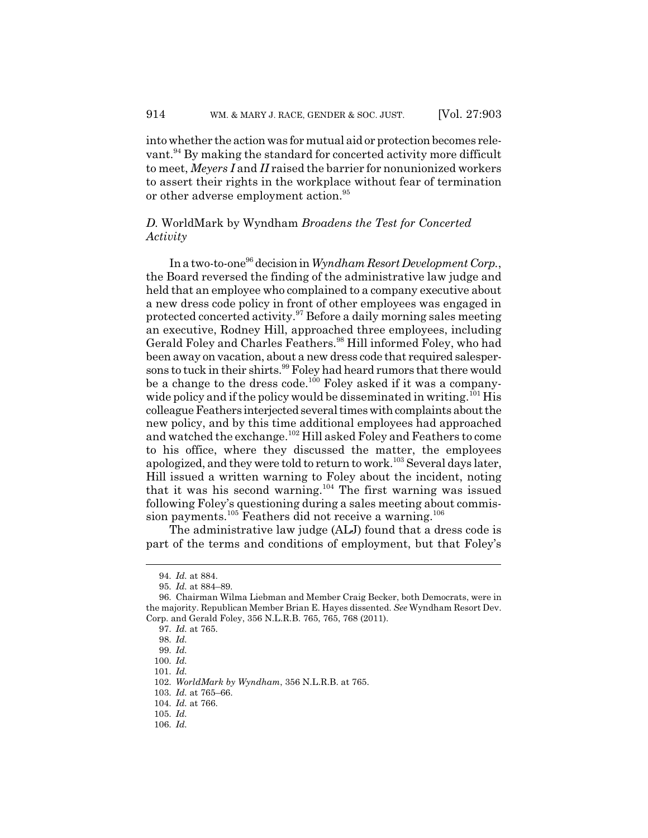into whether the action was for mutual aid or protection becomes relevant.<sup>94</sup> By making the standard for concerted activity more difficult to meet, *Meyers I* and *II* raised the barrier for nonunionized workers to assert their rights in the workplace without fear of termination or other adverse employment action.<sup>95</sup>

# *D.* WorldMark by Wyndham *Broadens the Test for Concerted Activity*

In a two-to-one96 decision in *Wyndham Resort Development Corp.*, the Board reversed the finding of the administrative law judge and held that an employee who complained to a company executive about a new dress code policy in front of other employees was engaged in protected concerted activity.97 Before a daily morning sales meeting an executive, Rodney Hill, approached three employees, including Gerald Foley and Charles Feathers.<sup>98</sup> Hill informed Foley, who had been away on vacation, about a new dress code that required salespersons to tuck in their shirts.<sup>99</sup> Foley had heard rumors that there would be a change to the dress code.<sup>100</sup> Foley asked if it was a companywide policy and if the policy would be disseminated in writing.<sup>101</sup> His colleague Feathers interjected several times with complaints about the new policy, and by this time additional employees had approached and watched the exchange.<sup>102</sup> Hill asked Foley and Feathers to come to his office, where they discussed the matter, the employees apologized, and they were told to return to work.<sup>103</sup> Several days later, Hill issued a written warning to Foley about the incident, noting that it was his second warning.<sup>104</sup> The first warning was issued following Foley's questioning during a sales meeting about commission payments.<sup>105</sup> Feathers did not receive a warning.<sup>106</sup>

The administrative law judge (ALJ) found that a dress code is part of the terms and conditions of employment, but that Foley's

<sup>94.</sup> *Id.* at 884.

<sup>95.</sup> *Id.* at 884–89.

<sup>96.</sup> Chairman Wilma Liebman and Member Craig Becker, both Democrats, were in the majority. Republican Member Brian E. Hayes dissented. *See* Wyndham Resort Dev. Corp. and Gerald Foley, 356 N.L.R.B. 765, 765, 768 (2011).

<sup>97.</sup> *Id.* at 765.

<sup>98.</sup> *Id.*

<sup>99.</sup> *Id.*

<sup>100.</sup> *Id.*

<sup>101.</sup> *Id.*

<sup>102.</sup> *WorldMark by Wyndham*, 356 N.L.R.B. at 765.

<sup>103.</sup> *Id.* at 765–66.

<sup>104.</sup> *Id.* at 766.

<sup>105.</sup> *Id.*

<sup>106.</sup> *Id.*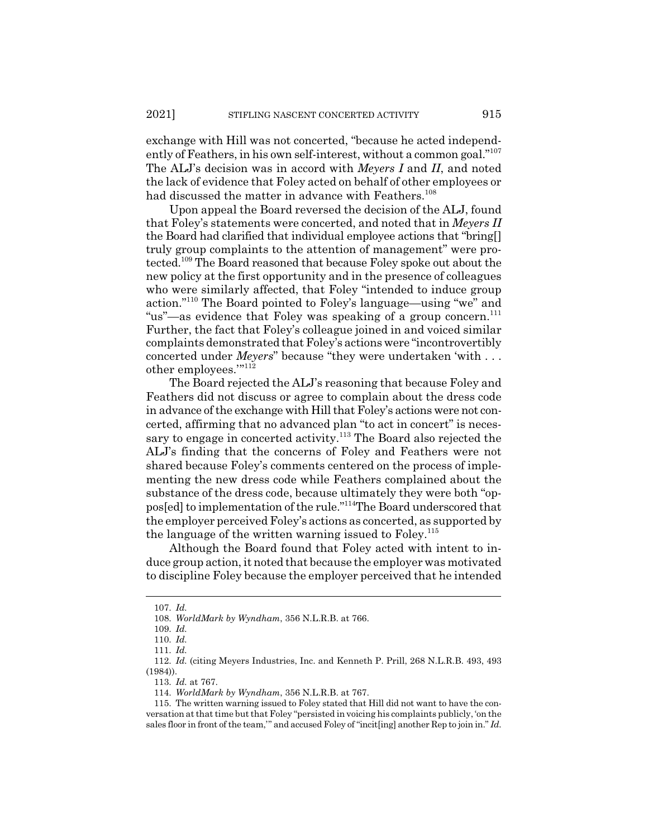exchange with Hill was not concerted, "because he acted independently of Feathers, in his own self-interest, without a common goal."<sup>107</sup> The ALJ's decision was in accord with *Meyers I* and *II*, and noted the lack of evidence that Foley acted on behalf of other employees or had discussed the matter in advance with Feathers.<sup>108</sup>

Upon appeal the Board reversed the decision of the ALJ, found that Foley's statements were concerted, and noted that in *Meyers II* the Board had clarified that individual employee actions that "bring[] truly group complaints to the attention of management" were protected.109 The Board reasoned that because Foley spoke out about the new policy at the first opportunity and in the presence of colleagues who were similarly affected, that Foley "intended to induce group action."110 The Board pointed to Foley's language—using "we" and "us"—as evidence that Foley was speaking of a group concern.<sup>111</sup> Further, the fact that Foley's colleague joined in and voiced similar complaints demonstrated that Foley's actions were "incontrovertibly concerted under *Meyers*" because "they were undertaken 'with . . . other employees.""<sup>112</sup>

The Board rejected the ALJ's reasoning that because Foley and Feathers did not discuss or agree to complain about the dress code in advance of the exchange with Hill that Foley's actions were not concerted, affirming that no advanced plan "to act in concert" is necessary to engage in concerted activity.<sup>113</sup> The Board also rejected the ALJ's finding that the concerns of Foley and Feathers were not shared because Foley's comments centered on the process of implementing the new dress code while Feathers complained about the substance of the dress code, because ultimately they were both "oppos[ed] to implementation of the rule."114The Board underscored that the employer perceived Foley's actions as concerted, as supported by the language of the written warning issued to Foley.<sup>115</sup>

Although the Board found that Foley acted with intent to induce group action, it noted that because the employer was motivated to discipline Foley because the employer perceived that he intended

<sup>107.</sup> *Id.*

<sup>108.</sup> *WorldMark by Wyndham*, 356 N.L.R.B. at 766.

<sup>109.</sup> *Id.*

<sup>110.</sup> *Id.*

<sup>111.</sup> *Id.*

<sup>112.</sup> *Id.* (citing Meyers Industries, Inc. and Kenneth P. Prill, 268 N.L.R.B. 493, 493 (1984)).

<sup>113.</sup> *Id.* at 767.

<sup>114.</sup> *WorldMark by Wyndham*, 356 N.L.R.B. at 767.

<sup>115.</sup> The written warning issued to Foley stated that Hill did not want to have the conversation at that time but that Foley "persisted in voicing his complaints publicly, 'on the sales floor in front of the team,'" and accused Foley of "incit[ing] another Rep to join in." *Id.*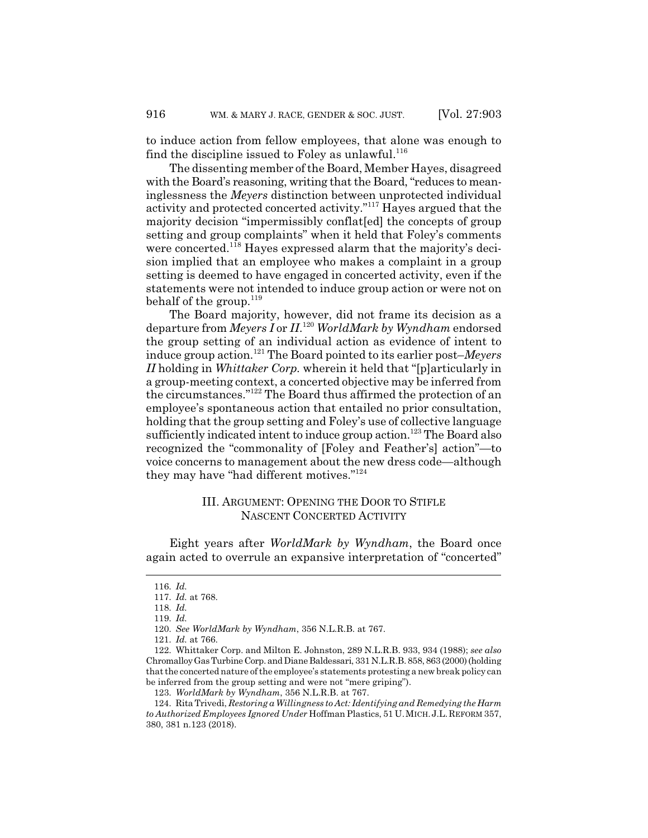to induce action from fellow employees, that alone was enough to find the discipline issued to Foley as unlawful. $116$ 

The dissenting member of the Board, Member Hayes, disagreed with the Board's reasoning, writing that the Board, "reduces to meaninglessness the *Meyers* distinction between unprotected individual activity and protected concerted activity."117 Hayes argued that the majority decision "impermissibly conflat[ed] the concepts of group setting and group complaints" when it held that Foley's comments were concerted.<sup>118</sup> Hayes expressed alarm that the majority's decision implied that an employee who makes a complaint in a group setting is deemed to have engaged in concerted activity, even if the statements were not intended to induce group action or were not on behalf of the group.<sup>119</sup>

The Board majority, however, did not frame its decision as a departure from *Meyers I* or *II*. <sup>120</sup> *WorldMark by Wyndham* endorsed the group setting of an individual action as evidence of intent to induce group action.121 The Board pointed to its earlier post–*Meyers II* holding in *Whittaker Corp.* wherein it held that "[p]articularly in a group-meeting context, a concerted objective may be inferred from the circumstances."122 The Board thus affirmed the protection of an employee's spontaneous action that entailed no prior consultation, holding that the group setting and Foley's use of collective language sufficiently indicated intent to induce group action.<sup>123</sup> The Board also recognized the "commonality of [Foley and Feather's] action"—to voice concerns to management about the new dress code—although they may have "had different motives."124

# III. ARGUMENT: OPENING THE DOOR TO STIFLE NASCENT CONCERTED ACTIVITY

Eight years after *WorldMark by Wyndham*, the Board once again acted to overrule an expansive interpretation of "concerted"

<sup>116.</sup> *Id.*

<sup>117.</sup> *Id.* at 768.

<sup>118.</sup> *Id.*

<sup>119.</sup> *Id.*

<sup>120.</sup> *See WorldMark by Wyndham*, 356 N.L.R.B. at 767.

<sup>121.</sup> *Id.* at 766.

<sup>122.</sup> Whittaker Corp. and Milton E. Johnston, 289 N.L.R.B. 933, 934 (1988); *see also* Chromalloy Gas Turbine Corp. and Diane Baldessari, 331 N.L.R.B. 858, 863 (2000) (holding that the concerted nature of the employee's statements protesting a new break policy can be inferred from the group setting and were not "mere griping").

<sup>123.</sup> *WorldMark by Wyndham*, 356 N.L.R.B. at 767.

<sup>124.</sup> Rita Trivedi, *Restoring a Willingness to Act: Identifying and Remedying the Harm to Authorized Employees Ignored Under* Hoffman Plastics, 51 U.MICH.J.L.REFORM 357, 380, 381 n.123 (2018).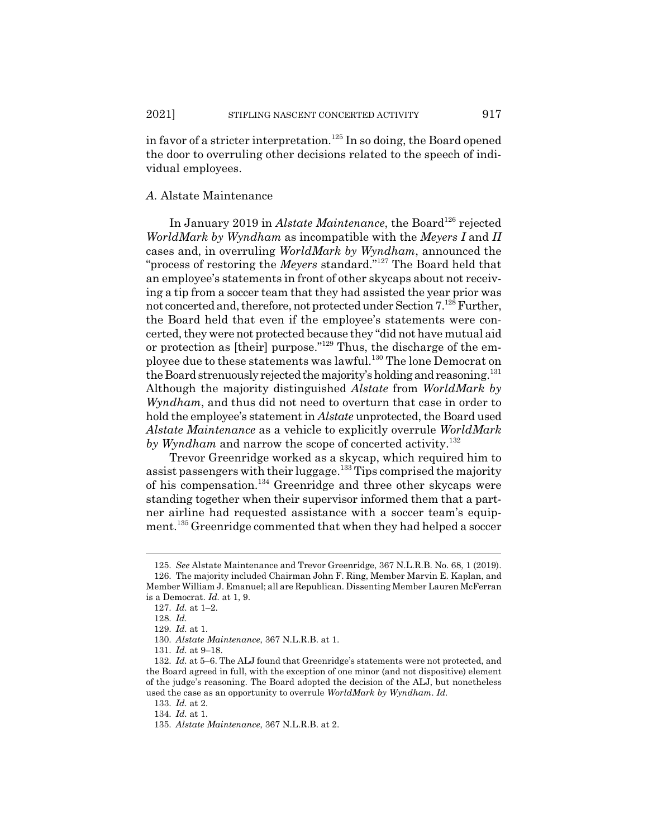in favor of a stricter interpretation.<sup>125</sup> In so doing, the Board opened the door to overruling other decisions related to the speech of individual employees.

#### *A.* Alstate Maintenance

In January 2019 in *Alstate Maintenance*, the Board<sup>126</sup> rejected *WorldMark by Wyndham* as incompatible with the *Meyers I* and *II* cases and, in overruling *WorldMark by Wyndham*, announced the "process of restoring the *Meyers* standard."127 The Board held that an employee's statements in front of other skycaps about not receiving a tip from a soccer team that they had assisted the year prior was not concerted and, therefore, not protected under Section 7.128 Further, the Board held that even if the employee's statements were concerted, they were not protected because they "did not have mutual aid or protection as [their] purpose."129 Thus, the discharge of the employee due to these statements was lawful.<sup>130</sup> The lone Democrat on the Board strenuously rejected the majority's holding and reasoning.<sup>131</sup> Although the majority distinguished *Alstate* from *WorldMark by Wyndham*, and thus did not need to overturn that case in order to hold the employee's statement in *Alstate* unprotected, the Board used *Alstate Maintenance* as a vehicle to explicitly overrule *WorldMark* by Wyndham and narrow the scope of concerted activity.<sup>132</sup>

Trevor Greenridge worked as a skycap, which required him to assist passengers with their luggage.<sup>133</sup> Tips comprised the majority of his compensation.134 Greenridge and three other skycaps were standing together when their supervisor informed them that a partner airline had requested assistance with a soccer team's equipment.<sup>135</sup> Greenridge commented that when they had helped a soccer

133. *Id.* at 2.

<sup>125.</sup> *See* Alstate Maintenance and Trevor Greenridge, 367 N.L.R.B. No. 68, 1 (2019). 126. The majority included Chairman John F. Ring, Member Marvin E. Kaplan, and Member William J. Emanuel; all are Republican. Dissenting Member Lauren McFerran is a Democrat. *Id.* at 1, 9.

<sup>127.</sup> *Id.* at 1–2.

<sup>128.</sup> *Id.*

<sup>129.</sup> *Id.* at 1.

<sup>130.</sup> *Alstate Maintenance*, 367 N.L.R.B. at 1.

<sup>131.</sup> *Id.* at 9–18.

<sup>132.</sup> *Id.* at 5–6. The ALJ found that Greenridge's statements were not protected, and the Board agreed in full, with the exception of one minor (and not dispositive) element of the judge's reasoning. The Board adopted the decision of the ALJ, but nonetheless used the case as an opportunity to overrule *WorldMark by Wyndham*. *Id.*

<sup>134.</sup> *Id.* at 1.

<sup>135.</sup> *Alstate Maintenance*, 367 N.L.R.B. at 2.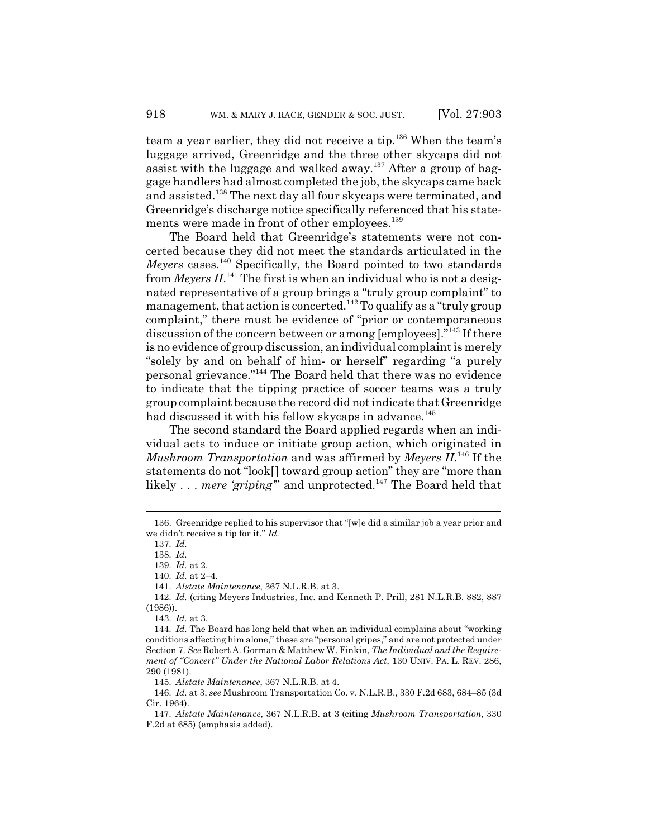team a year earlier, they did not receive a tip.<sup>136</sup> When the team's luggage arrived, Greenridge and the three other skycaps did not assist with the luggage and walked away.<sup>137</sup> After a group of baggage handlers had almost completed the job, the skycaps came back and assisted.138 The next day all four skycaps were terminated, and Greenridge's discharge notice specifically referenced that his statements were made in front of other employees.<sup>139</sup>

The Board held that Greenridge's statements were not concerted because they did not meet the standards articulated in the *Meyers* cases.140 Specifically, the Board pointed to two standards from *Meyers II*.<sup>141</sup> The first is when an individual who is not a designated representative of a group brings a "truly group complaint" to management, that action is concerted.<sup>142</sup> To qualify as a "truly group" complaint," there must be evidence of "prior or contemporaneous discussion of the concern between or among [employees]."143 If there is no evidence of group discussion, an individual complaint is merely "solely by and on behalf of him- or herself" regarding "a purely personal grievance."144 The Board held that there was no evidence to indicate that the tipping practice of soccer teams was a truly group complaint because the record did not indicate that Greenridge had discussed it with his fellow skycaps in advance.<sup>145</sup>

The second standard the Board applied regards when an individual acts to induce or initiate group action, which originated in *Mushroom Transportation* and was affirmed by *Meyers II*. 146 If the statements do not "look[] toward group action" they are "more than likely . . . *mere 'griping*" and unprotected.<sup>147</sup> The Board held that

<sup>136.</sup> Greenridge replied to his supervisor that "[w]e did a similar job a year prior and we didn't receive a tip for it." *Id.*

<sup>137.</sup> *Id.*

<sup>138.</sup> *Id.*

<sup>139.</sup> *Id.* at 2.

<sup>140.</sup> *Id.* at 2–4.

<sup>141.</sup> *Alstate Maintenance*, 367 N.L.R.B. at 3.

<sup>142.</sup> *Id.* (citing Meyers Industries, Inc. and Kenneth P. Prill, 281 N.L.R.B. 882, 887 (1986)).

<sup>143.</sup> *Id.* at 3.

<sup>144.</sup> *Id.* The Board has long held that when an individual complains about "working conditions affecting him alone," these are "personal gripes," and are not protected under Section 7. *See* Robert A. Gorman & Matthew W. Finkin, *The Individual and the Requirement of "Concert" Under the National Labor Relations Act*, 130 UNIV. PA. L. REV. 286, 290 (1981).

<sup>145.</sup> *Alstate Maintenance*, 367 N.L.R.B. at 4.

<sup>146.</sup> *Id.* at 3; *see* Mushroom Transportation Co. v. N.L.R.B., 330 F.2d 683, 684–85 (3d Cir. 1964).

<sup>147.</sup> *Alstate Maintenance*, 367 N.L.R.B. at 3 (citing *Mushroom Transportation*, 330 F.2d at 685) (emphasis added).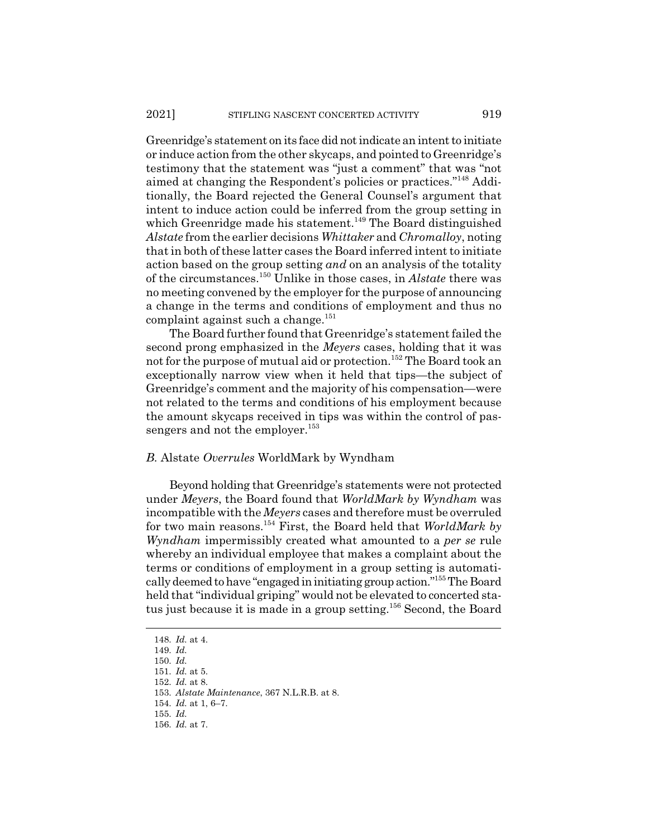Greenridge's statement on its face did not indicate an intent to initiate or induce action from the other skycaps, and pointed to Greenridge's testimony that the statement was "just a comment" that was "not aimed at changing the Respondent's policies or practices."148 Additionally, the Board rejected the General Counsel's argument that intent to induce action could be inferred from the group setting in which Greenridge made his statement.<sup>149</sup> The Board distinguished *Alstate* from the earlier decisions *Whittaker* and *Chromalloy*, noting that in both of these latter cases the Board inferred intent to initiate action based on the group setting *and* on an analysis of the totality of the circumstances.150 Unlike in those cases, in *Alstate* there was no meeting convened by the employer for the purpose of announcing a change in the terms and conditions of employment and thus no complaint against such a change. $151$ 

The Board further found that Greenridge's statement failed the second prong emphasized in the *Meyers* cases, holding that it was not for the purpose of mutual aid or protection.<sup>152</sup> The Board took an exceptionally narrow view when it held that tips—the subject of Greenridge's comment and the majority of his compensation—were not related to the terms and conditions of his employment because the amount skycaps received in tips was within the control of passengers and not the employer. $153$ 

#### *B.* Alstate *Overrules* WorldMark by Wyndham

Beyond holding that Greenridge's statements were not protected under *Meyers*, the Board found that *WorldMark by Wyndham* was incompatible with the *Meyers* cases and therefore must be overruled for two main reasons.154 First, the Board held that *WorldMark by Wyndham* impermissibly created what amounted to a *per se* rule whereby an individual employee that makes a complaint about the terms or conditions of employment in a group setting is automatically deemed to have "engaged in initiating group action."155 The Board held that "individual griping" would not be elevated to concerted status just because it is made in a group setting.<sup>156</sup> Second, the Board

<sup>148.</sup> *Id.* at 4.

<sup>149.</sup> *Id.*

<sup>150.</sup> *Id.*

<sup>151.</sup> *Id.* at 5.

<sup>152.</sup> *Id.* at 8.

<sup>153.</sup> *Alstate Maintenance*, 367 N.L.R.B. at 8.

<sup>154.</sup> *Id.* at 1, 6–7.

<sup>155.</sup> *Id.*

<sup>156.</sup> *Id.* at 7.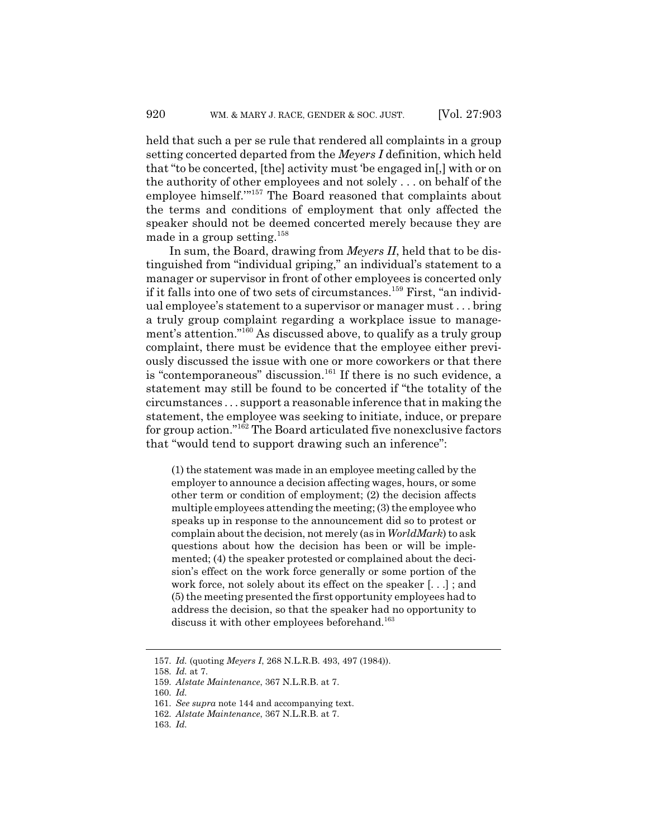held that such a per se rule that rendered all complaints in a group setting concerted departed from the *Meyers I* definition, which held that "to be concerted, [the] activity must 'be engaged in[,] with or on the authority of other employees and not solely . . . on behalf of the employee himself.'"157 The Board reasoned that complaints about the terms and conditions of employment that only affected the speaker should not be deemed concerted merely because they are made in a group setting.<sup>158</sup>

In sum, the Board, drawing from *Meyers II*, held that to be distinguished from "individual griping," an individual's statement to a manager or supervisor in front of other employees is concerted only if it falls into one of two sets of circumstances.<sup>159</sup> First, "an individual employee's statement to a supervisor or manager must . . . bring a truly group complaint regarding a workplace issue to management's attention."160 As discussed above, to qualify as a truly group complaint, there must be evidence that the employee either previously discussed the issue with one or more coworkers or that there is "contemporaneous" discussion.<sup>161</sup> If there is no such evidence, a statement may still be found to be concerted if "the totality of the circumstances . . . support a reasonable inference that in making the statement, the employee was seeking to initiate, induce, or prepare for group action."162 The Board articulated five nonexclusive factors that "would tend to support drawing such an inference":

(1) the statement was made in an employee meeting called by the employer to announce a decision affecting wages, hours, or some other term or condition of employment; (2) the decision affects multiple employees attending the meeting; (3) the employee who speaks up in response to the announcement did so to protest or complain about the decision, not merely (as in *WorldMark*) to ask questions about how the decision has been or will be implemented; (4) the speaker protested or complained about the decision's effect on the work force generally or some portion of the work force, not solely about its effect on the speaker [. . .] ; and (5) the meeting presented the first opportunity employees had to address the decision, so that the speaker had no opportunity to discuss it with other employees beforehand.<sup>163</sup>

<sup>157.</sup> *Id.* (quoting *Meyers I*, 268 N.L.R.B. 493, 497 (1984)).

<sup>158.</sup> *Id.* at 7.

<sup>159.</sup> *Alstate Maintenance*, 367 N.L.R.B. at 7.

<sup>160.</sup> *Id.*

<sup>161.</sup> *See supra* note 144 and accompanying text.

<sup>162.</sup> *Alstate Maintenance*, 367 N.L.R.B. at 7.

<sup>163.</sup> *Id.*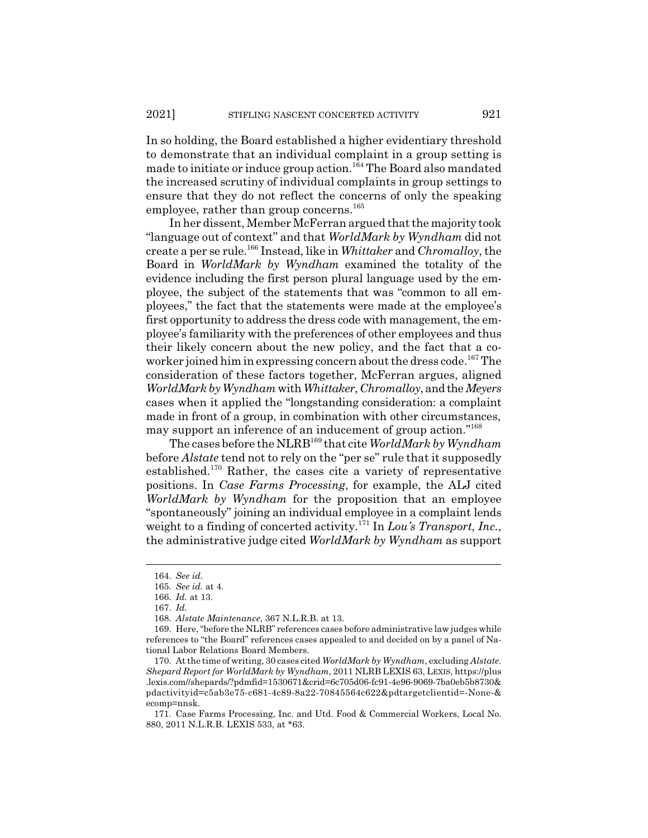In so holding, the Board established a higher evidentiary threshold to demonstrate that an individual complaint in a group setting is made to initiate or induce group action.<sup>164</sup> The Board also mandated the increased scrutiny of individual complaints in group settings to ensure that they do not reflect the concerns of only the speaking employee, rather than group concerns.<sup>165</sup>

In her dissent, Member McFerran argued that the majority took "language out of context" and that *WorldMark by Wyndham* did not create a per se rule.166 Instead, like in *Whittaker* and *Chromalloy*, the Board in *WorldMark by Wyndham* examined the totality of the evidence including the first person plural language used by the employee, the subject of the statements that was "common to all employees," the fact that the statements were made at the employee's first opportunity to address the dress code with management, the employee's familiarity with the preferences of other employees and thus their likely concern about the new policy, and the fact that a coworker joined him in expressing concern about the dress code.<sup>167</sup> The consideration of these factors together, McFerran argues, aligned *WorldMark by Wyndham* with*Whittaker*, *Chromalloy*, and the *Meyers* cases when it applied the "longstanding consideration: a complaint made in front of a group, in combination with other circumstances, may support an inference of an inducement of group action."<sup>168</sup>

The cases before the NLRB169 that cite *WorldMark by Wyndham* before *Alstate* tend not to rely on the "per se" rule that it supposedly established.170 Rather, the cases cite a variety of representative positions. In *Case Farms Processing*, for example, the ALJ cited *WorldMark by Wyndham* for the proposition that an employee "spontaneously" joining an individual employee in a complaint lends weight to a finding of concerted activity.<sup>171</sup> In *Lou's Transport, Inc.*, the administrative judge cited *WorldMark by Wyndham* as support

<sup>164.</sup> *See id.*

<sup>165.</sup> *See id.* at 4.

<sup>166.</sup> *Id.* at 13.

<sup>167.</sup> *Id.*

<sup>168.</sup> *Alstate Maintenance*, 367 N.L.R.B. at 13.

<sup>169.</sup> Here, "before the NLRB" references cases before administrative law judges while references to "the Board" references cases appealed to and decided on by a panel of National Labor Relations Board Members.

<sup>170.</sup> At the time of writing, 30 cases cited *WorldMark by Wyndham*, excluding *Alstate. Shepard Report for WorldMark by Wyndham*, 2011 NLRB LEXIS 63, LEXIS, https://plus .lexis.com//shepards/?pdmfid=1530671&crid=6c705d06-fc91-4e96-9069-7ba0eb5b8730& pdactivityid=c5ab3e75-c681-4c89-8a22-70845564c622&pdtargetclientid=-None-& ecomp=nnsk.

<sup>171.</sup> Case Farms Processing, Inc. and Utd. Food & Commercial Workers, Local No. 880, 2011 N.L.R.B. LEXIS 533, at \*63.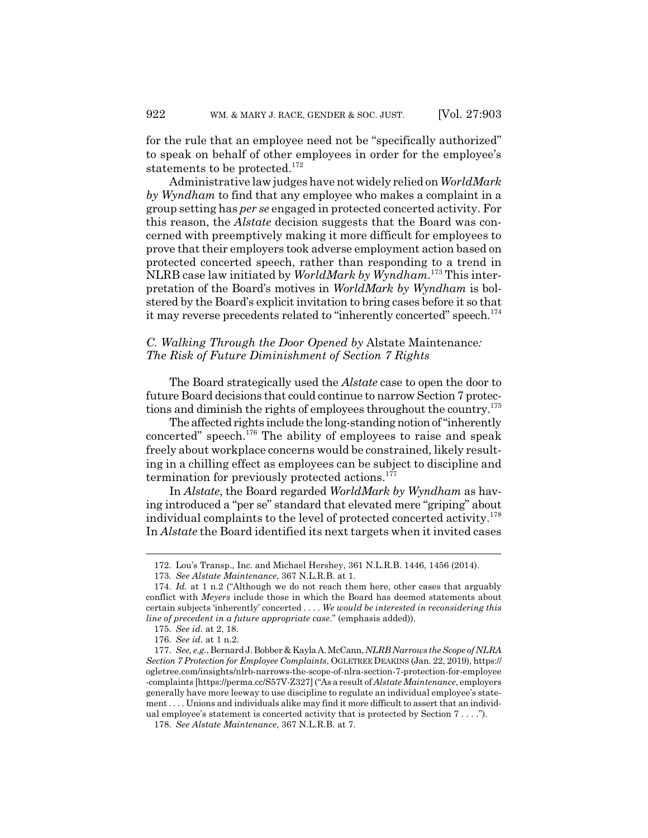for the rule that an employee need not be "specifically authorized" to speak on behalf of other employees in order for the employee's statements to be protected.<sup>172</sup>

Administrative law judges have not widely relied on *WorldMark by Wyndham* to find that any employee who makes a complaint in a group setting has *per se* engaged in protected concerted activity. For this reason, the *Alstate* decision suggests that the Board was concerned with preemptively making it more difficult for employees to prove that their employers took adverse employment action based on protected concerted speech, rather than responding to a trend in NLRB case law initiated by *WorldMark by Wyndham*. 173 This interpretation of the Board's motives in *WorldMark by Wyndham* is bolstered by the Board's explicit invitation to bring cases before it so that it may reverse precedents related to "inherently concerted" speech.<sup>174</sup>

# *C. Walking Through the Door Opened by* Alstate Maintenance*: The Risk of Future Diminishment of Section 7 Rights*

The Board strategically used the *Alstate* case to open the door to future Board decisions that could continue to narrow Section 7 protections and diminish the rights of employees throughout the country.<sup>175</sup>

The affected rights include the long-standing notion of "inherently concerted" speech.<sup>176</sup> The ability of employees to raise and speak freely about workplace concerns would be constrained, likely resulting in a chilling effect as employees can be subject to discipline and termination for previously protected actions.<sup>177</sup>

In *Alstate*, the Board regarded *WorldMark by Wyndham* as having introduced a "per se" standard that elevated mere "griping" about individual complaints to the level of protected concerted activity.<sup>178</sup> In *Alstate* the Board identified its next targets when it invited cases

<sup>172.</sup> Lou's Transp., Inc. and Michael Hershey, 361 N.L.R.B. 1446, 1456 (2014).

<sup>173.</sup> *See Alstate Maintenance*, 367 N.L.R.B. at 1.

<sup>174.</sup> *Id.* at 1 n.2 ("Although we do not reach them here, other cases that arguably conflict with *Meyers* include those in which the Board has deemed statements about certain subjects 'inherently' concerted . . . . *We would be interested in reconsidering this line of precedent in a future appropriate case*." (emphasis added)).

<sup>175.</sup> *See id.* at 2, 18.

<sup>176.</sup> *See id.* at 1 n.2.

<sup>177.</sup> *See, e.g.*, Bernard J. Bobber & Kayla A. McCann, *NLRB Narrows the Scope of NLRA Section 7 Protection for Employee Complaints*, OGLETREEDEAKINS (Jan. 22, 2019), https:// ogletree.com/insights/nlrb-narrows-the-scope-of-nlra-section-7-protection-for-employee -complaints [https://perma.cc/S57V-Z327] ("As a result of *Alstate Maintenance*, employers generally have more leeway to use discipline to regulate an individual employee's statement . . . . Unions and individuals alike may find it more difficult to assert that an individual employee's statement is concerted activity that is protected by Section 7 . . . .").

<sup>178.</sup> *See Alstate Maintenance*, 367 N.L.R.B. at 7.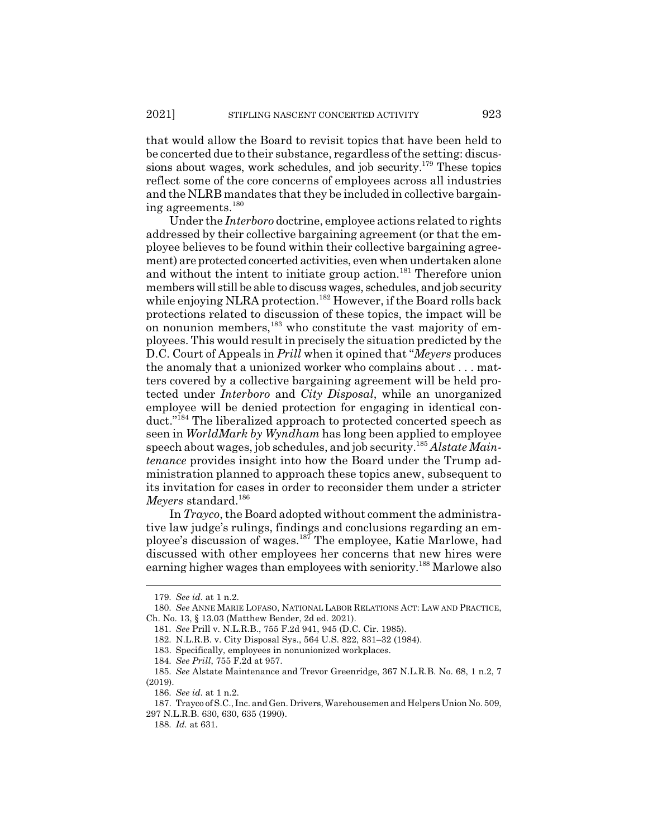that would allow the Board to revisit topics that have been held to be concerted due to their substance, regardless of the setting: discussions about wages, work schedules, and job security.<sup>179</sup> These topics reflect some of the core concerns of employees across all industries and the NLRB mandates that they be included in collective bargaining agreements.<sup>180</sup>

Under the *Interboro* doctrine, employee actions related to rights addressed by their collective bargaining agreement (or that the employee believes to be found within their collective bargaining agreement) are protected concerted activities, even when undertaken alone and without the intent to initiate group action.<sup>181</sup> Therefore union members will still be able to discuss wages, schedules, and job security while enjoying NLRA protection.<sup>182</sup> However, if the Board rolls back protections related to discussion of these topics, the impact will be on nonunion members, $183$  who constitute the vast majority of employees. This would result in precisely the situation predicted by the D.C. Court of Appeals in *Prill* when it opined that "*Meyers* produces the anomaly that a unionized worker who complains about . . . matters covered by a collective bargaining agreement will be held protected under *Interboro* and *City Disposal*, while an unorganized employee will be denied protection for engaging in identical conduct."<sup>184</sup> The liberalized approach to protected concerted speech as seen in *WorldMark by Wyndham* has long been applied to employee speech about wages, job schedules, and job security.185 *Alstate Maintenance* provides insight into how the Board under the Trump administration planned to approach these topics anew, subsequent to its invitation for cases in order to reconsider them under a stricter *Meyers* standard.<sup>186</sup>

In *Trayco*, the Board adopted without comment the administrative law judge's rulings, findings and conclusions regarding an employee's discussion of wages.187 The employee, Katie Marlowe, had discussed with other employees her concerns that new hires were earning higher wages than employees with seniority.<sup>188</sup> Marlowe also

<sup>179.</sup> *See id.* at 1 n.2.

<sup>180.</sup> *See* ANNE MARIE LOFASO, NATIONAL LABOR RELATIONS ACT: LAW AND PRACTICE, Ch. No. 13, § 13.03 (Matthew Bender, 2d ed. 2021).

<sup>181.</sup> *See* Prill v. N.L.R.B., 755 F.2d 941, 945 (D.C. Cir. 1985).

<sup>182.</sup> N.L.R.B. v. City Disposal Sys., 564 U.S. 822, 831–32 (1984).

<sup>183.</sup> Specifically, employees in nonunionized workplaces.

<sup>184.</sup> *See Prill*, 755 F.2d at 957.

<sup>185.</sup> *See* Alstate Maintenance and Trevor Greenridge, 367 N.L.R.B. No. 68, 1 n.2, 7 (2019).

<sup>186.</sup> *See id.* at 1 n.2.

<sup>187.</sup> Trayco of S.C., Inc. and Gen. Drivers, Warehousemen and Helpers Union No. 509, 297 N.L.R.B. 630, 630, 635 (1990).

<sup>188.</sup> *Id.* at 631.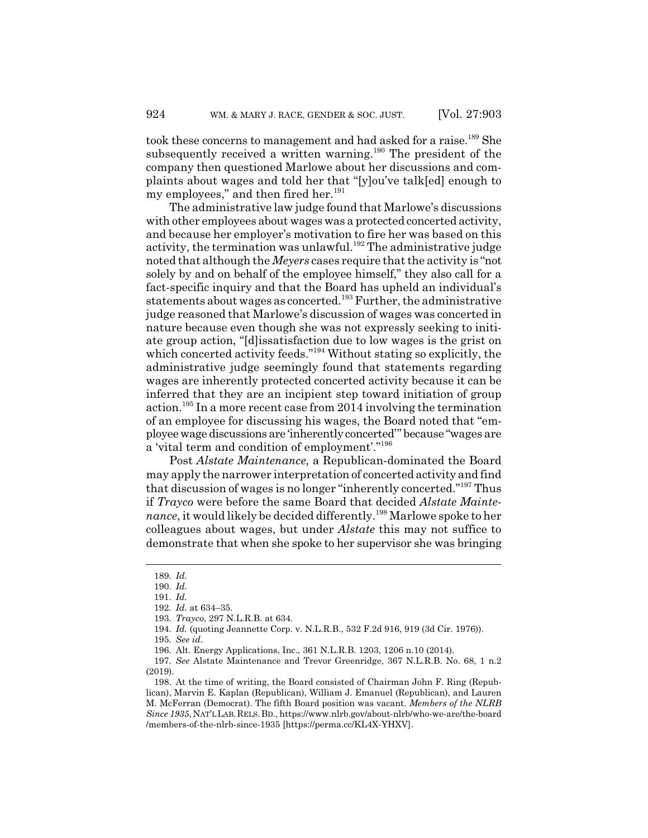took these concerns to management and had asked for a raise.<sup>189</sup> She subsequently received a written warning.<sup>190</sup> The president of the company then questioned Marlowe about her discussions and complaints about wages and told her that "[y]ou've talk[ed] enough to my employees," and then fired her. $191$ 

The administrative law judge found that Marlowe's discussions with other employees about wages was a protected concerted activity, and because her employer's motivation to fire her was based on this activity, the termination was unlawful.<sup>192</sup> The administrative judge noted that although the *Meyers* cases require that the activity is "not solely by and on behalf of the employee himself," they also call for a fact-specific inquiry and that the Board has upheld an individual's statements about wages as concerted.<sup>193</sup> Further, the administrative judge reasoned that Marlowe's discussion of wages was concerted in nature because even though she was not expressly seeking to initiate group action, "[d]issatisfaction due to low wages is the grist on which concerted activity feeds."<sup>194</sup> Without stating so explicitly, the administrative judge seemingly found that statements regarding wages are inherently protected concerted activity because it can be inferred that they are an incipient step toward initiation of group action.195 In a more recent case from 2014 involving the termination of an employee for discussing his wages, the Board noted that "employee wage discussions are 'inherently concerted'" because "wages are a 'vital term and condition of employment'."196

Post *Alstate Maintenance,* a Republican-dominated the Board may apply the narrower interpretation of concerted activity and find that discussion of wages is no longer "inherently concerted."197 Thus if *Trayco* were before the same Board that decided *Alstate Maintenance*, it would likely be decided differently.<sup>198</sup> Marlowe spoke to her colleagues about wages, but under *Alstate* this may not suffice to demonstrate that when she spoke to her supervisor she was bringing

<sup>189.</sup> *Id.*

<sup>190.</sup> *Id.*

<sup>191.</sup> *Id.*

<sup>192.</sup> *Id.* at 634–35.

<sup>193.</sup> *Trayco*, 297 N.L.R.B. at 634.

<sup>194.</sup> *Id.* (quoting Jeannette Corp. v. N.L.R.B., 532 F.2d 916, 919 (3d Cir. 1976)).

<sup>195.</sup> *See id.*

<sup>196.</sup> Alt. Energy Applications, Inc., 361 N.L.R.B. 1203, 1206 n.10 (2014).

<sup>197.</sup> *See* Alstate Maintenance and Trevor Greenridge, 367 N.L.R.B. No. 68, 1 n.2 (2019).

<sup>198.</sup> At the time of writing, the Board consisted of Chairman John F. Ring (Republican), Marvin E. Kaplan (Republican), William J. Emanuel (Republican), and Lauren M. McFerran (Democrat). The fifth Board position was vacant. *Members of the NLRB Since 1935*, NAT'LLAB.RELS.BD., https://www.nlrb.gov/about-nlrb/who-we-are/the-board /members-of-the-nlrb-since-1935 [https://perma.cc/KL4X-YHXV].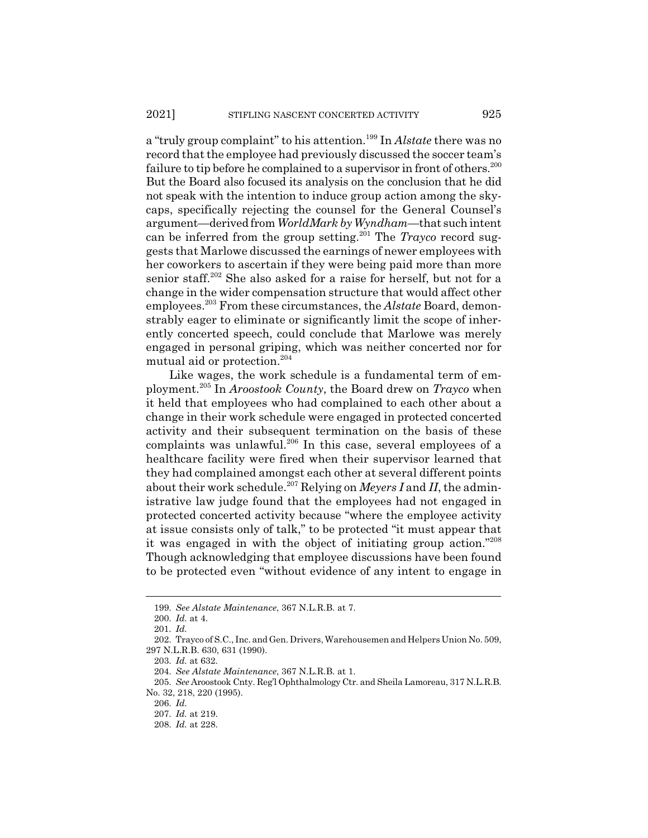a "truly group complaint" to his attention.199 In *Alstate* there was no record that the employee had previously discussed the soccer team's failure to tip before he complained to a supervisor in front of others.<sup>200</sup> But the Board also focused its analysis on the conclusion that he did not speak with the intention to induce group action among the skycaps, specifically rejecting the counsel for the General Counsel's argument—derived from *WorldMark by Wyndham*—that such intent can be inferred from the group setting.<sup>201</sup> The *Trayco* record suggests that Marlowe discussed the earnings of newer employees with her coworkers to ascertain if they were being paid more than more senior staff.<sup>202</sup> She also asked for a raise for herself, but not for a change in the wider compensation structure that would affect other employees.203 From these circumstances, the *Alstate* Board, demonstrably eager to eliminate or significantly limit the scope of inherently concerted speech, could conclude that Marlowe was merely engaged in personal griping, which was neither concerted nor for mutual aid or protection.<sup>204</sup>

Like wages, the work schedule is a fundamental term of employment.205 In *Aroostook County*, the Board drew on *Trayco* when it held that employees who had complained to each other about a change in their work schedule were engaged in protected concerted activity and their subsequent termination on the basis of these complaints was unlawful.<sup>206</sup> In this case, several employees of a healthcare facility were fired when their supervisor learned that they had complained amongst each other at several different points about their work schedule.<sup>207</sup> Relying on *Meyers I* and *II*, the administrative law judge found that the employees had not engaged in protected concerted activity because "where the employee activity at issue consists only of talk," to be protected "it must appear that it was engaged in with the object of initiating group action."208 Though acknowledging that employee discussions have been found to be protected even "without evidence of any intent to engage in

<sup>199.</sup> *See Alstate Maintenance*, 367 N.L.R.B. at 7.

<sup>200.</sup> *Id.* at 4.

<sup>201.</sup> *Id.*

<sup>202.</sup> Trayco of S.C., Inc. and Gen. Drivers, Warehousemen and Helpers Union No. 509, 297 N.L.R.B. 630, 631 (1990).

<sup>203.</sup> *Id.* at 632.

<sup>204.</sup> *See Alstate Maintenance*, 367 N.L.R.B. at 1.

<sup>205.</sup> *See* Aroostook Cnty. Reg'l Ophthalmology Ctr. and Sheila Lamoreau, 317 N.L.R.B. No. 32, 218, 220 (1995).

<sup>206.</sup> *Id.*

<sup>207.</sup> *Id.* at 219.

<sup>208.</sup> *Id.* at 228.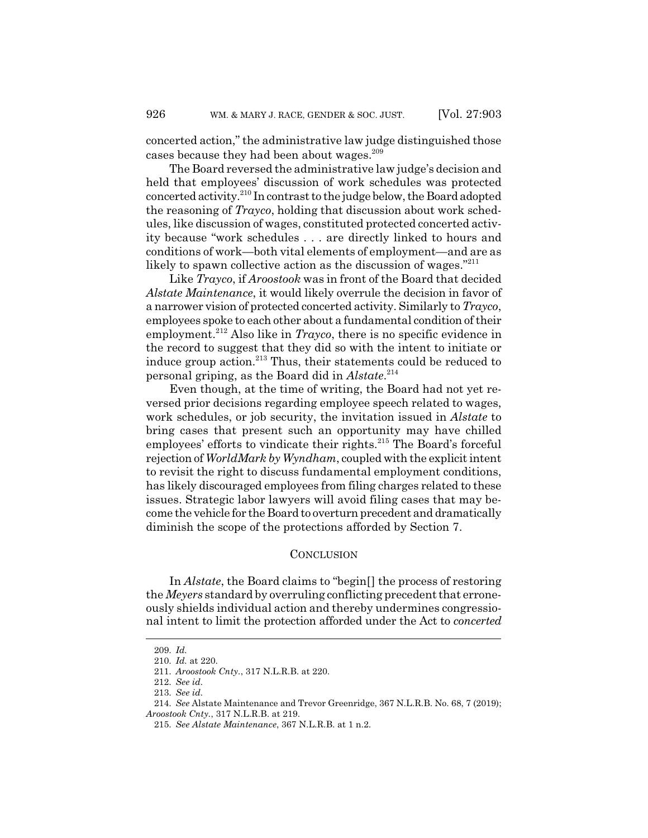concerted action," the administrative law judge distinguished those cases because they had been about wages.<sup>209</sup>

The Board reversed the administrative law judge's decision and held that employees' discussion of work schedules was protected concerted activity.210 In contrast to the judge below, the Board adopted the reasoning of *Trayco*, holding that discussion about work schedules, like discussion of wages, constituted protected concerted activity because "work schedules . . . are directly linked to hours and conditions of work—both vital elements of employment—and are as likely to spawn collective action as the discussion of wages."<sup>211</sup>

Like *Trayco*, if *Aroostook* was in front of the Board that decided *Alstate Maintenance*, it would likely overrule the decision in favor of a narrower vision of protected concerted activity. Similarly to *Trayco*, employees spoke to each other about a fundamental condition of their employment.<sup>212</sup> Also like in *Trayco*, there is no specific evidence in the record to suggest that they did so with the intent to initiate or induce group action.<sup>213</sup> Thus, their statements could be reduced to personal griping, as the Board did in *Alstate*. 214

Even though, at the time of writing, the Board had not yet reversed prior decisions regarding employee speech related to wages, work schedules, or job security, the invitation issued in *Alstate* to bring cases that present such an opportunity may have chilled employees' efforts to vindicate their rights.<sup>215</sup> The Board's forceful rejection of *WorldMark by Wyndham*, coupled with the explicit intent to revisit the right to discuss fundamental employment conditions, has likely discouraged employees from filing charges related to these issues. Strategic labor lawyers will avoid filing cases that may become the vehicle for the Board to overturn precedent and dramatically diminish the scope of the protections afforded by Section 7.

#### **CONCLUSION**

In *Alstate*, the Board claims to "begin[] the process of restoring the *Meyers* standard by overruling conflicting precedent that erroneously shields individual action and thereby undermines congressional intent to limit the protection afforded under the Act to *concerted*

<sup>209.</sup> *Id.*

<sup>210.</sup> *Id.* at 220.

<sup>211.</sup> *Aroostook Cnty.*, 317 N.L.R.B. at 220.

<sup>212.</sup> *See id.*

<sup>213.</sup> *See id.*

<sup>214.</sup> *See* Alstate Maintenance and Trevor Greenridge, 367 N.L.R.B. No. 68, 7 (2019); *Aroostook Cnty.*, 317 N.L.R.B. at 219.

<sup>215.</sup> *See Alstate Maintenance*, 367 N.L.R.B. at 1 n.2.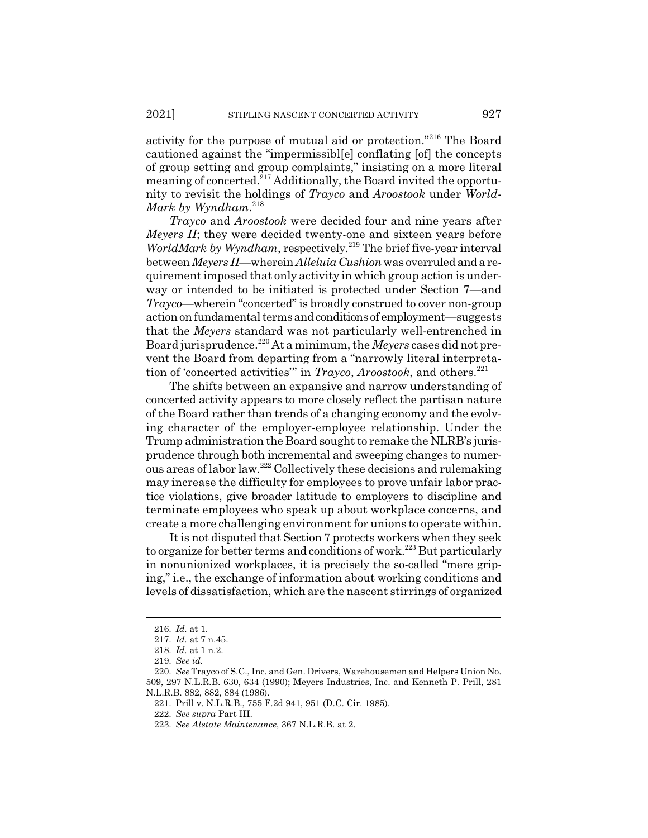activity for the purpose of mutual aid or protection."216 The Board cautioned against the "impermissibl[e] conflating [of] the concepts of group setting and group complaints," insisting on a more literal meaning of concerted.<sup>217</sup> Additionally, the Board invited the opportunity to revisit the holdings of *Trayco* and *Aroostook* under *World-Mark by Wyndham*. 218

*Trayco* and *Aroostook* were decided four and nine years after *Meyers II*; they were decided twenty-one and sixteen years before *WorldMark by Wyndham*, respectively.<sup>219</sup> The brief five-year interval between *Meyers II—*wherein *Alleluia Cushion* was overruled and a requirement imposed that only activity in which group action is underway or intended to be initiated is protected under Section 7—and *Trayco*—wherein "concerted" is broadly construed to cover non-group action on fundamental terms and conditions of employment—suggests that the *Meyers* standard was not particularly well-entrenched in Board jurisprudence.220 At a minimum, the *Meyers* cases did not prevent the Board from departing from a "narrowly literal interpretation of 'concerted activities'" in *Trayco*, *Aroostook*, and others.221

The shifts between an expansive and narrow understanding of concerted activity appears to more closely reflect the partisan nature of the Board rather than trends of a changing economy and the evolving character of the employer-employee relationship. Under the Trump administration the Board sought to remake the NLRB's jurisprudence through both incremental and sweeping changes to numerous areas of labor law.222 Collectively these decisions and rulemaking may increase the difficulty for employees to prove unfair labor practice violations, give broader latitude to employers to discipline and terminate employees who speak up about workplace concerns, and create a more challenging environment for unions to operate within.

It is not disputed that Section 7 protects workers when they seek to organize for better terms and conditions of work.<sup>223</sup> But particularly in nonunionized workplaces, it is precisely the so-called "mere griping," i.e., the exchange of information about working conditions and levels of dissatisfaction, which are the nascent stirrings of organized

<sup>216.</sup> *Id.* at 1.

<sup>217.</sup> *Id.* at 7 n.45.

<sup>218.</sup> *Id.* at 1 n.2.

<sup>219.</sup> *See id.*

<sup>220.</sup> *See* Trayco of S.C., Inc. and Gen. Drivers, Warehousemen and Helpers Union No. 509, 297 N.L.R.B. 630, 634 (1990); Meyers Industries, Inc. and Kenneth P. Prill, 281 N.L.R.B. 882, 882, 884 (1986).

<sup>221.</sup> Prill v. N.L.R.B., 755 F.2d 941, 951 (D.C. Cir. 1985).

<sup>222.</sup> *See supra* Part III.

<sup>223.</sup> *See Alstate Maintenance*, 367 N.L.R.B. at 2.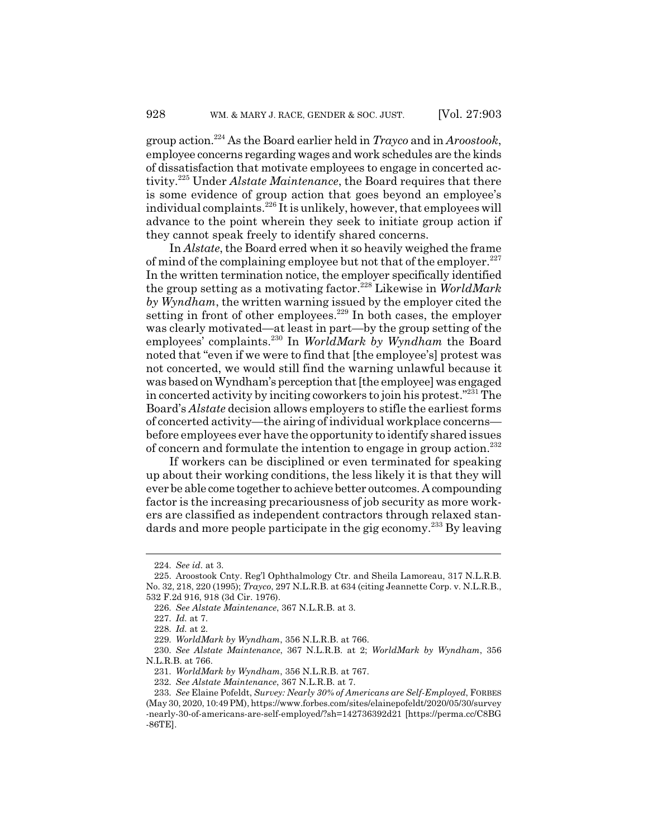group action.224 As the Board earlier held in *Trayco* and in *Aroostook*, employee concerns regarding wages and work schedules are the kinds of dissatisfaction that motivate employees to engage in concerted activity.225 Under *Alstate Maintenance*, the Board requires that there is some evidence of group action that goes beyond an employee's individual complaints.<sup>226</sup> It is unlikely, however, that employees will advance to the point wherein they seek to initiate group action if they cannot speak freely to identify shared concerns.

In *Alstate*, the Board erred when it so heavily weighed the frame of mind of the complaining employee but not that of the employer. $227$ In the written termination notice, the employer specifically identified the group setting as a motivating factor.228 Likewise in *WorldMark by Wyndham*, the written warning issued by the employer cited the setting in front of other employees. $229$  In both cases, the employer was clearly motivated—at least in part—by the group setting of the employees' complaints.230 In *WorldMark by Wyndham* the Board noted that "even if we were to find that [the employee's] protest was not concerted, we would still find the warning unlawful because it was based on Wyndham's perception that [the employee] was engaged in concerted activity by inciting coworkers to join his protest."231 The Board's *Alstate* decision allows employers to stifle the earliest forms of concerted activity—the airing of individual workplace concerns before employees ever have the opportunity to identify shared issues of concern and formulate the intention to engage in group action.<sup>232</sup>

If workers can be disciplined or even terminated for speaking up about their working conditions, the less likely it is that they will ever be able come together to achieve better outcomes. A compounding factor is the increasing precariousness of job security as more workers are classified as independent contractors through relaxed standards and more people participate in the gig economy.<sup>233</sup> By leaving

<sup>224.</sup> *See id.* at 3.

<sup>225.</sup> Aroostook Cnty. Reg'l Ophthalmology Ctr. and Sheila Lamoreau, 317 N.L.R.B. No. 32, 218, 220 (1995); *Trayco*, 297 N.L.R.B. at 634 (citing Jeannette Corp. v. N.L.R.B., 532 F.2d 916, 918 (3d Cir. 1976).

<sup>226.</sup> *See Alstate Maintenance*, 367 N.L.R.B. at 3.

<sup>227.</sup> *Id.* at 7.

<sup>228.</sup> *Id.* at 2.

<sup>229.</sup> *WorldMark by Wyndham*, 356 N.L.R.B. at 766.

<sup>230.</sup> *See Alstate Maintenance*, 367 N.L.R.B. at 2; *WorldMark by Wyndham*, 356 N.L.R.B. at 766.

<sup>231.</sup> *WorldMark by Wyndham*, 356 N.L.R.B. at 767.

<sup>232.</sup> *See Alstate Maintenance*, 367 N.L.R.B. at 7.

<sup>233.</sup> *See* Elaine Pofeldt, *Survey: Nearly 30% of Americans are Self-Employed*, FORBES (May 30, 2020, 10:49 PM), https://www.forbes.com/sites/elainepofeldt/2020/05/30/survey -nearly-30-of-americans-are-self-employed/?sh=142736392d21 [https://perma.cc/C8BG -86TE].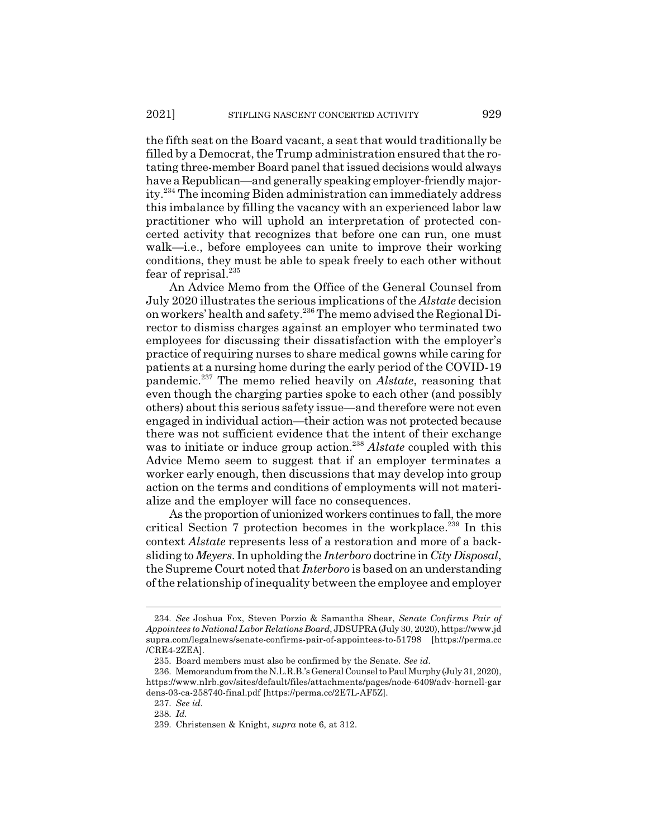the fifth seat on the Board vacant, a seat that would traditionally be filled by a Democrat, the Trump administration ensured that the rotating three-member Board panel that issued decisions would always have a Republican—and generally speaking employer-friendly majority.234 The incoming Biden administration can immediately address this imbalance by filling the vacancy with an experienced labor law practitioner who will uphold an interpretation of protected concerted activity that recognizes that before one can run, one must walk—i.e., before employees can unite to improve their working conditions, they must be able to speak freely to each other without fear of reprisal.<sup>235</sup>

An Advice Memo from the Office of the General Counsel from July 2020 illustrates the serious implications of the *Alstate* decision on workers' health and safety.236 The memo advised the Regional Director to dismiss charges against an employer who terminated two employees for discussing their dissatisfaction with the employer's practice of requiring nurses to share medical gowns while caring for patients at a nursing home during the early period of the COVID-19 pandemic.237 The memo relied heavily on *Alstate*, reasoning that even though the charging parties spoke to each other (and possibly others) about this serious safety issue—and therefore were not even engaged in individual action—their action was not protected because there was not sufficient evidence that the intent of their exchange was to initiate or induce group action.<sup>238</sup> Alstate coupled with this Advice Memo seem to suggest that if an employer terminates a worker early enough, then discussions that may develop into group action on the terms and conditions of employments will not materialize and the employer will face no consequences.

As the proportion of unionized workers continues to fall, the more critical Section 7 protection becomes in the workplace.<sup>239</sup> In this context *Alstate* represents less of a restoration and more of a backsliding to *Meyers*. In upholding the *Interboro* doctrine in *City Disposal*, the Supreme Court noted that *Interboro* is based on an understanding of the relationship of inequality between the employee and employer

<sup>234.</sup> *See* Joshua Fox, Steven Porzio & Samantha Shear, *Senate Confirms Pair of Appointees to National Labor Relations Board*, JDSUPRA (July 30, 2020), https://www.jd supra.com/legalnews/senate-confirms-pair-of-appointees-to-51798 [https://perma.cc /CRE4-2ZEA].

<sup>235.</sup> Board members must also be confirmed by the Senate. *See id.*

<sup>236.</sup> Memorandum from the N.L.R.B.'s General Counsel to Paul Murphy (July 31, 2020), https://www.nlrb.gov/sites/default/files/attachments/pages/node-6409/adv-hornell-gar dens-03-ca-258740-final.pdf [https://perma.cc/2E7L-AF5Z].

<sup>237.</sup> *See id.*

<sup>238.</sup> *Id.*

<sup>239.</sup> Christensen & Knight, *supra* note 6, at 312.